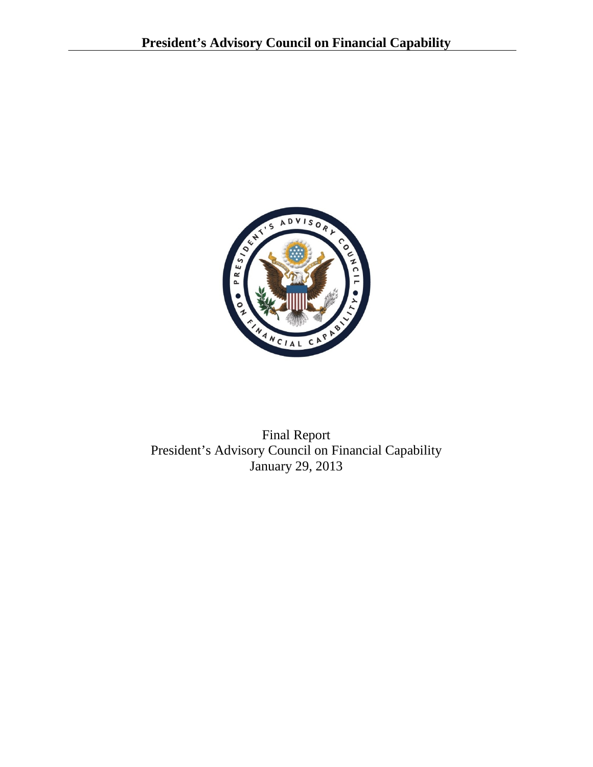

 Final Report President's Advisory Council on Financial Capability January 29, 2013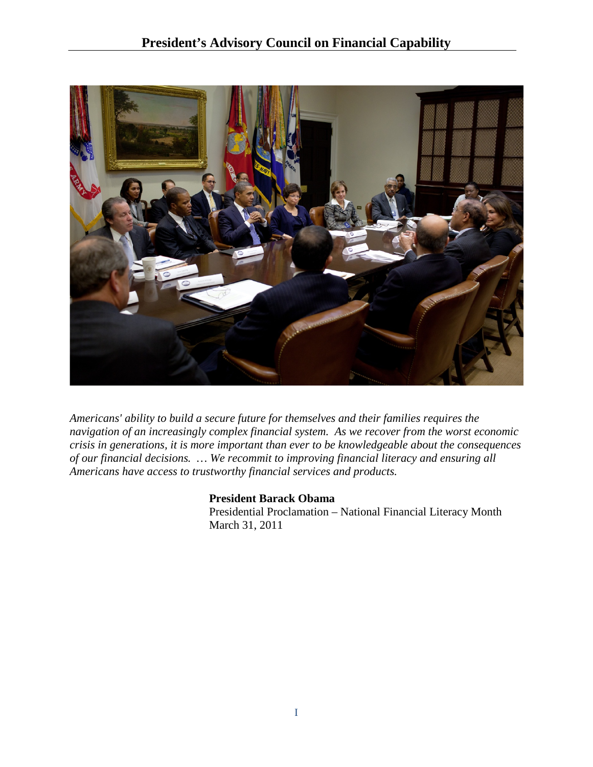

*Americans' ability to build a secure future for themselves and their families requires the navigation of an increasingly complex financial system. As we recover from the worst economic crisis in generations, it is more important than ever to be knowledgeable about the consequences of our financial decisions. … We recommit to improving financial literacy and ensuring all Americans have access to trustworthy financial services and products.* 

# **President Barack Obama**

Presidential Proclamation – National Financial Literacy Month March 31, 2011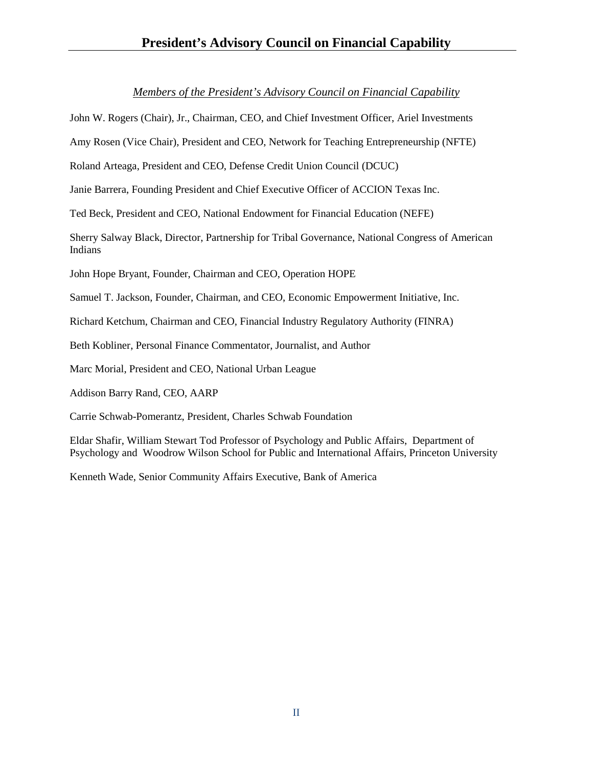# *Members of the President's Advisory Council on Financial Capability*

[John W. Rogers \(Chair\), Jr., Chairman, CEO, and Chief Investment Officer, Ariel Investments](http://www.treasury.gov/resource-center/financial-education/Pages/rogers.aspx)

[Amy Rosen \(Vice Chair\), President and CEO, Network for Teaching Entrepreneurship \(NFTE\)](http://www.treasury.gov/resource-center/financial-education/Pages/rosen.aspx)

[Roland Arteaga, President and CEO, Defense Credit Union Council \(DCUC\)](http://www.treasury.gov/resource-center/financial-education/Pages/arteaga.aspx)

Janie Barrera, Founding President and Chief Executive Officer of ACCION Texas Inc.

[Ted Beck, President and CEO, National Endowment for Financial Education \(NEFE\)](http://www.treasury.gov/resource-center/financial-education/Pages/beck.aspx)

Sherry Salway Black, Director, Partnership for Tribal Governance, National Congress of American Indians

[John Hope Bryant, Founder, Chairman and CEO, Operation HOPE](http://www.treasury.gov/resource-center/financial-education/Pages/bryant.aspx)

[Samuel T. Jackson, Founder, Chairman, and CEO, Economic Empowerment Initiative, Inc.](http://www.treasury.gov/resource-center/financial-education/Pages/jackson.aspx)

[Richard Ketchum, Chairman and CEO, Financial Industry Regulatory Authority \(FINRA\)](http://www.treasury.gov/resource-center/financial-education/Pages/ketchum.aspx)

[Beth Kobliner, Personal Finance Commentator, Journalist, and Author](http://www.treasury.gov/resource-center/financial-education/Pages/kobliner.aspx)

Marc Morial, President and CEO, National Urban League

Addison Barry Rand, CEO, AARP

[Carrie Schwab-Pomerantz, President, Charles Schwab Foundation](http://www.treasury.gov/resource-center/financial-education/Pages/schwab.aspx)

Eldar Shafir, William Stewart Tod Professor of Psychology and Public Affairs, Department of Psychology and Woodrow Wilson School for Public and International Affairs, Princeton University

[Kenneth Wade, Senior Community Affairs Executive, Bank of America](http://www.treasury.gov/resource-center/financial-education/Pages/wade.aspx)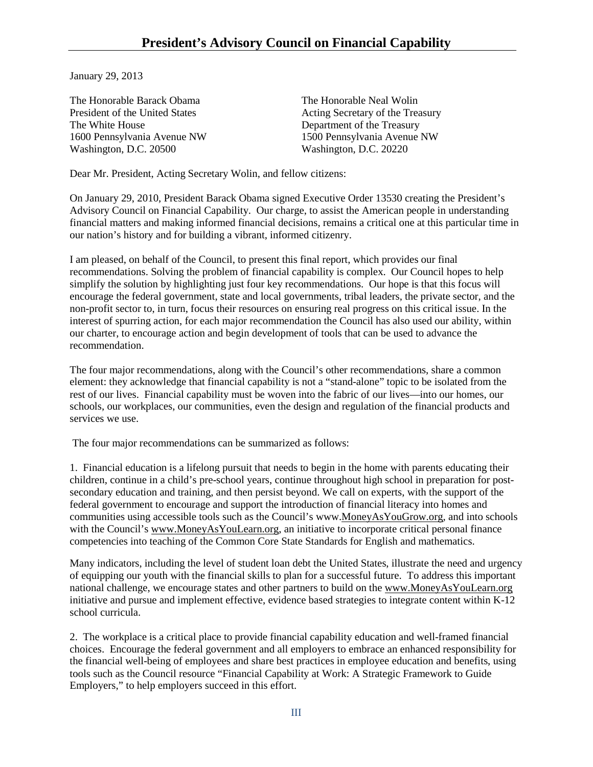January 29, 2013

The Honorable Barack Obama President of the United States The White House 1600 Pennsylvania Avenue NW Washington, D.C. 20500

 Acting Secretary of the Treasury The Honorable Neal Wolin Department of the Treasury 1500 Pennsylvania Avenue NW Washington, D.C. 20220

Dear Mr. President, Acting Secretary Wolin, and fellow citizens:

 financial matters and making informed financial decisions, remains a critical one at this particular time in On January 29, 2010, President Barack Obama signed Executive Order 13530 creating the President's Advisory Council on Financial Capability. Our charge, to assist the American people in understanding our nation's history and for building a vibrant, informed citizenry.

 I am pleased, on behalf of the Council, to present this final report, which provides our final recommendations. Solving the problem of financial capability is complex. Our Council hopes to help simplify the solution by highlighting just four key recommendations. Our hope is that this focus will encourage the federal government, state and local governments, tribal leaders, the private sector, and the non-profit sector to, in turn, focus their resources on ensuring real progress on this critical issue. In the our charter, to encourage action and begin development of tools that can be used to advance the interest of spurring action, for each major recommendation the Council has also used our ability, within recommendation.

 element: they acknowledge that financial capability is not a "stand-alone" topic to be isolated from the rest of our lives. Financial capability must be woven into the fabric of our lives—into our homes, our schools, our workplaces, our communities, even the design and regulation of the financial products and services we use. The four major recommendations, along with the Council's other recommendations, share a common

The four major recommendations can be summarized as follows:

 1. Financial education is a lifelong pursuit that needs to begin in the home with parents educating their children, continue in a child's pre-school years, continue throughout high school in preparation for postsecondary education and training, and then persist beyond. We call on experts, with the support of the secondary education and training, and then persist beyond. We call on experts, with the support of the federal government to encourage and support the introduction of financial literacy into homes and with the Council's www.MoneyAsYouLearn.org, an initiative to incorporate critical personal finance communities using accessible tools such as the Council's www[.MoneyAsYouGrow.org,](http://www.moneyasyougrow.org/) and into schools competencies into teaching of the Common Core State Standards for English and mathematics.

 Many indicators, including the level of student loan debt the United States, illustrate the need and urgency of equipping our youth with the financial skills to plan for a successful future. To address this important national challenge, we encourage states and other partners to build on the www.MoneyAsYouLearn.org initiative and pursue and implement effective, evidence based strategies to integrate content within K-12 school curricula.

 choices. Encourage the federal government and all employers to embrace an enhanced responsibility for 2. The workplace is a critical place to provide financial capability education and well-framed financial the financial well-being of employees and share best practices in employee education and benefits, using tools such as the Council resource "Financial Capability at Work: A Strategic Framework to Guide Employers," to help employers succeed in this effort.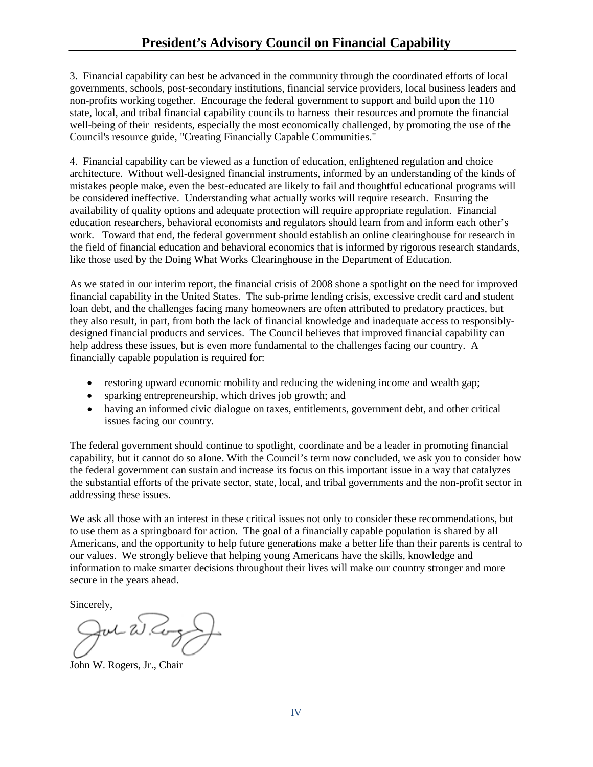state, local, and tribal financial capability councils to harness their resources and promote the financial well-being of their residents, especially the most economically challenged, by promoting the use of the 3. Financial capability can best be advanced in the community through the coordinated efforts of local governments, schools, post-secondary institutions, financial service providers, local business leaders and non-profits working together. Encourage the federal government to support and build upon the 110 Council's resource guide, "Creating Financially Capable Communities."

 architecture. Without well-designed financial instruments, informed by an understanding of the kinds of mistakes people make, even the best-educated are likely to fail and thoughtful educational programs will be considered ineffective. Understanding what actually works will require research. Ensuring the availability of quality options and adequate protection will require appropriate regulation. Financial the field of financial education and behavioral economics that is informed by rigorous research standards, 4. Financial capability can be viewed as a function of education, enlightened regulation and choice education researchers, behavioral economists and regulators should learn from and inform each other's work. Toward that end, the federal government should establish an online clearinghouse for research in like those used by the Doing What Works Clearinghouse in the Department of Education.

 financial capability in the United States. The sub-prime lending crisis, excessive credit card and student loan debt, and the challenges facing many homeowners are often attributed to predatory practices, but financially capable population is required for: As we stated in our interim report, the financial crisis of 2008 shone a spotlight on the need for improved they also result, in part, from both the lack of financial knowledge and inadequate access to responsiblydesigned financial products and services. The Council believes that improved financial capability can help address these issues, but is even more fundamental to the challenges facing our country. A

- restoring upward economic mobility and reducing the widening income and wealth gap;
- • sparking entrepreneurship, which drives job growth; and
- having an informed civic dialogue on taxes, entitlements, government debt, and other critical issues facing our country.

 The federal government should continue to spotlight, coordinate and be a leader in promoting financial capability, but it cannot do so alone. With the Council's term now concluded, we ask you to consider how the federal government can sustain and increase its focus on this important issue in a way that catalyzes the substantial efforts of the private sector, state, local, and tribal governments and the non-profit sector in addressing these issues.

 We ask all those with an interest in these critical issues not only to consider these recommendations, but to use them as a springboard for action. The goal of a financially capable population is shared by all Americans, and the opportunity to help future generations make a better life than their parents is central to information to make smarter decisions throughout their lives will make our country stronger and more our values. We strongly believe that helping young Americans have the skills, knowledge and secure in the years ahead.

Sincerely,

John W. Rogers, Jr., Chair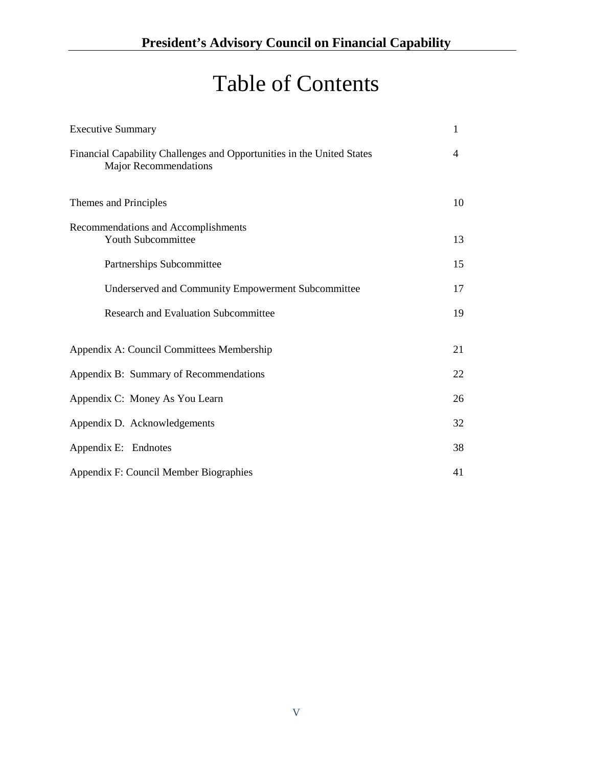# Table of Contents

| <b>Executive Summary</b>                                                                               | $\mathbf{1}$ |
|--------------------------------------------------------------------------------------------------------|--------------|
| Financial Capability Challenges and Opportunities in the United States<br><b>Major Recommendations</b> | 4            |
| Themes and Principles                                                                                  | 10           |
| Recommendations and Accomplishments<br>Youth Subcommittee                                              | 13           |
| Partnerships Subcommittee                                                                              | 15           |
| Underserved and Community Empowerment Subcommittee                                                     | 17           |
| <b>Research and Evaluation Subcommittee</b>                                                            | 19           |
| Appendix A: Council Committees Membership                                                              | 21           |
| Appendix B: Summary of Recommendations                                                                 | 22           |
| Appendix C: Money As You Learn                                                                         | 26           |
| Appendix D. Acknowledgements                                                                           | 32           |
| Appendix E: Endnotes                                                                                   | 38           |
| Appendix F: Council Member Biographies                                                                 | 41           |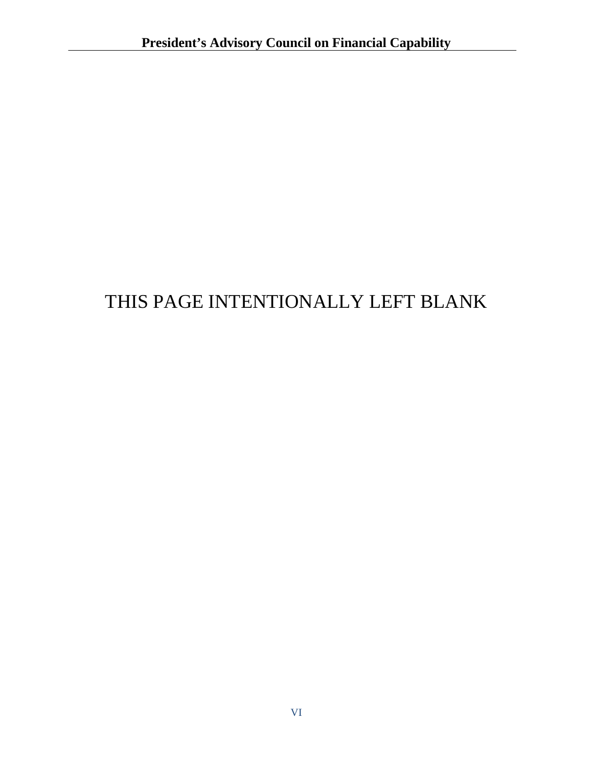# THIS PAGE INTENTIONALLY LEFT BLANK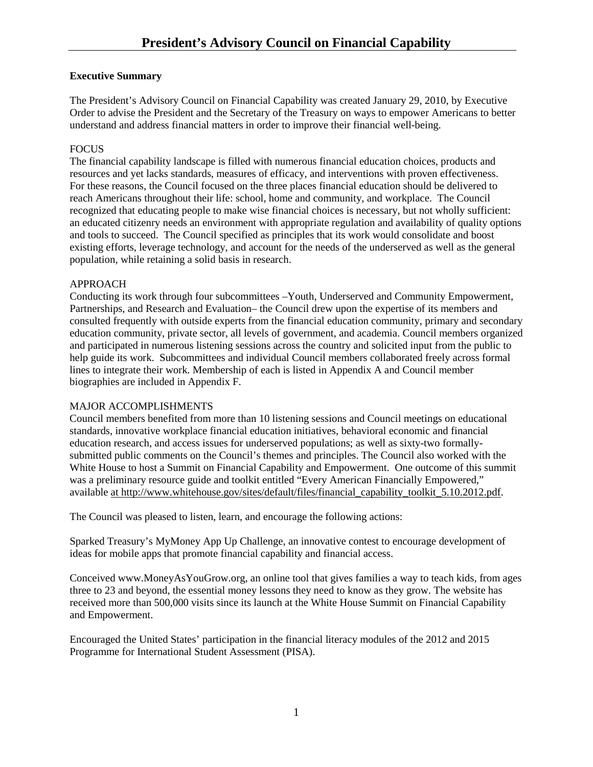# <span id="page-8-0"></span>**Executive Summary**

 Order to advise the President and the Secretary of the Treasury on ways to empower Americans to better The President's Advisory Council on Financial Capability was created January 29, 2010, by Executive understand and address financial matters in order to improve their financial well-being.

# **FOCUS**

 and tools to succeed. The Council specified as principles that its work would consolidate and boost population, while retaining a solid basis in research. The financial capability landscape is filled with numerous financial education choices, products and resources and yet lacks standards, measures of efficacy, and interventions with proven effectiveness. For these reasons, the Council focused on the three places financial education should be delivered to reach Americans throughout their life: school, home and community, and workplace. The Council recognized that educating people to make wise financial choices is necessary, but not wholly sufficient: an educated citizenry needs an environment with appropriate regulation and availability of quality options existing efforts, leverage technology, and account for the needs of the underserved as well as the general

# APPROACH

 Partnerships, and Research and Evaluation– the Council drew upon the expertise of its members and and participated in numerous listening sessions across the country and solicited input from the public to Conducting its work through four subcommittees –Youth, Underserved and Community Empowerment, consulted frequently with outside experts from the financial education community, primary and secondary education community, private sector, all levels of government, and academia. Council members organized help guide its work. Subcommittees and individual Council members collaborated freely across formal lines to integrate their work. Membership of each is listed in Appendix A and Council member biographies are included in Appendix F.

# MAJOR ACCOMPLISHMENTS

Council members benefited from more than 10 listening sessions and Council meetings on educational standards, innovative workplace financial education initiatives, behavioral economic and financial education research, and access issues for underserved populations; as well as sixty-two formallysubmitted public comments on the Council's themes and principles. The Council also worked with the White House to host a Summit on Financial Capability and Empowerment. One outcome of this summit was a preliminary resource guide and toolkit entitled "Every American Financially Empowered," available at [http://www.whitehouse.gov/sites/default/files/financial\\_capability\\_toolkit\\_5.10.2012.pdf.](http://www.whitehouse.gov/sites/default/files/financial_capability_toolkit_5.10.2012.pdf)

The Council was pleased to listen, learn, and encourage the following actions:

ideas for mobile apps that promote financial capability and financial access. Sparked Treasury's MyMoney App Up Challenge, an innovative contest to encourage development of

Conceived [www.MoneyAsYouGrow.org](http://www.MoneyAsYouGrow.org), an online tool that gives families a way to teach kids, from ages three to 23 and beyond, the essential money lessons they need to know as they grow. The website has received more than 500,000 visits since its launch at the White House Summit on Financial Capability and Empowerment.

 Encouraged the United States' participation in the financial literacy modules of the 2012 and 2015 Programme for International Student Assessment (PISA).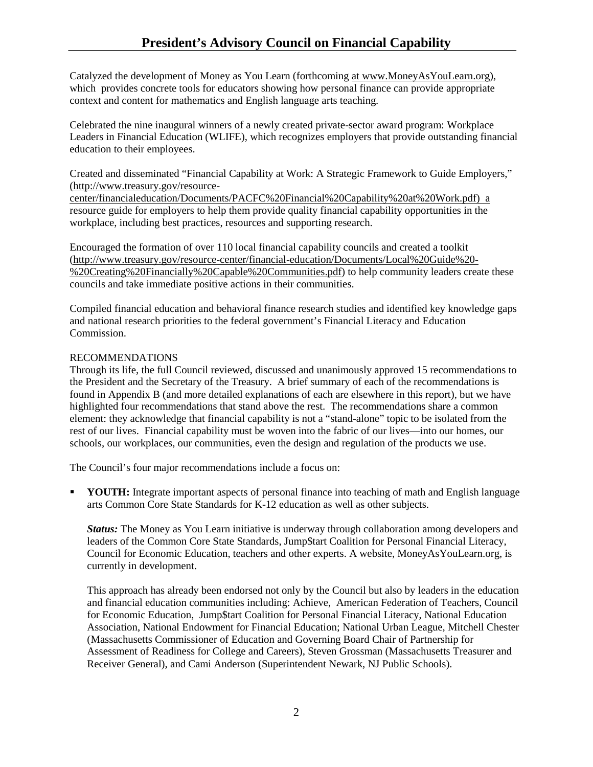context and content for mathematics and English language arts teaching. Catalyzed the development of Money as You Learn (forthcoming at [www.MoneyAsYouLearn.org\)](http://www.moneyasyoulearn.org/), which provides concrete tools for educators showing how personal finance can provide appropriate

 Celebrated the nine inaugural winners of a newly created private-sector award program: Workplace Leaders in Financial Education (WLIFE), which recognizes employers that provide outstanding financial education to their employees.

Created and disseminated "Financial Capability at Work: A Strategic Framework to Guide Employers," (http://www.treasury.gov/resource-

[center/financialeducation/Documents/PACFC%20Financial%20Capability%20at%20Work.pdf](http://www.treasury.gov/resourcecenter/financialeducation/Documents/PACFC%20Financial%20Capability%20at%20Work.pdf)) a resource guide for employers to help them provide quality financial capability opportunities in the workplace, including best practices, resources and supporting research.

 Encouraged the formation of over 110 local financial capability councils and created a toolkit [\(http://www.treasury.gov/resource-center/financial-education/Documents/Local%20Guide%20](http://www.treasury.gov/resource-center/financial-education/Documents/Local%20Guide%20-%20Creating%20Financially%20Capable%20Communities.pdf) %20Creating%20Financially%20Capable%20Communities.pdf) to help community leaders create these councils and take immediate positive actions in their communities.

 and national research priorities to the federal government's Financial Literacy and Education Compiled financial education and behavioral finance research studies and identified key knowledge gaps Commission.

# RECOMMENDATIONS

 highlighted four recommendations that stand above the rest. The recommendations share a common element: they acknowledge that financial capability is not a "stand-alone" topic to be isolated from the rest of our lives. Financial capability must be woven into the fabric of our lives—into our homes, our schools, our workplaces, our communities, even the design and regulation of the products we use. Through its life, the full Council reviewed, discussed and unanimously approved 15 recommendations to the President and the Secretary of the Treasury. A brief summary of each of the recommendations is found in Appendix B (and more detailed explanations of each are elsewhere in this report), but we have

The Council's four major recommendations include a focus on:

 **YOUTH:** Integrate important aspects of personal finance into teaching of math and English language arts Common Core State Standards for K-12 education as well as other subjects.

 *Status:* The Money as You Learn initiative is underway through collaboration among developers and leaders of the Common Core State Standards, Jump\$tart Coalition for Personal Financial Literacy, Council for Economic Education, teachers and other experts. A website, MoneyAsYouLearn.org, is currently in development.

 This approach has already been endorsed not only by the Council but also by leaders in the education and financial education communities including: Achieve, American Federation of Teachers, Council for Economic Education, Jump\$tart Coalition for Personal Financial Literacy, National Education Association, National Endowment for Financial Education; National Urban League, Mitchell Chester (Massachusetts Commissioner of Education and Governing Board Chair of Partnership for Assessment of Readiness for College and Careers), Steven Grossman (Massachusetts Treasurer and Receiver General), and Cami Anderson (Superintendent Newark, NJ Public Schools).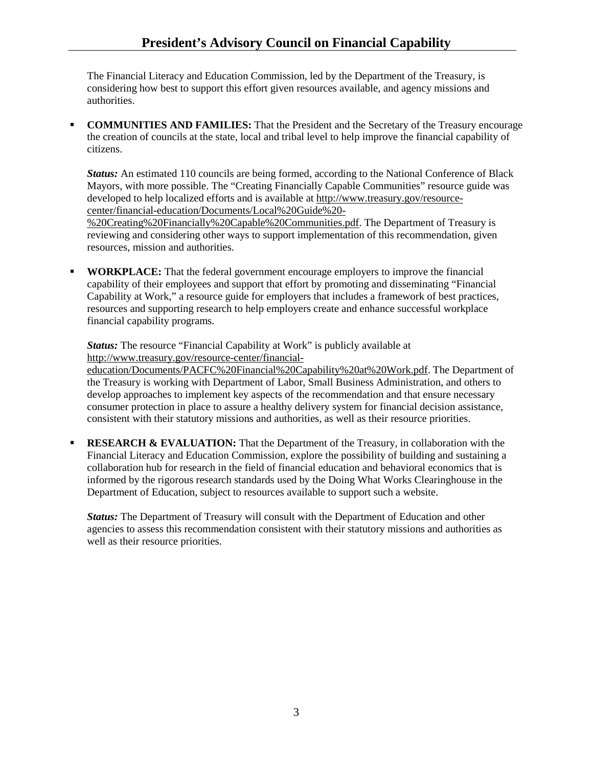The Financial Literacy and Education Commission, led by the Department of the Treasury, is  authorities. considering how best to support this effort given resources available, and agency missions and

**COMMUNITIES AND FAMILIES:** That the President and the Secretary of the Treasury encourage the creation of councils at the state, local and tribal level to help improve the financial capability of citizens.

 *Status:* An estimated 110 councils are being formed, according to the National Conference of Black [developed to help localized efforts and is available at http://www.treasury.gov/resource-](http://www.treasury.gov/resource-center/financial-education/Documents/Local%20Guide%20-%20Creating%20Financially%20Capable%20Communities.pdf)Mayors, with more possible. The "Creating Financially Capable Communities" resource guide was center/financial-education/Documents/Local%20Guide%20

 resources, mission and authorities. %20Creating%20Financially%20Capable%20Communities.pdf. The Department of Treasury is reviewing and considering other ways to support implementation of this recommendation, given

 capability of their employees and support that effort by promoting and disseminating "Financial Capability at Work," a resource guide for employers that includes a framework of best practices, financial capability programs. **WORKPLACE:** That the federal government encourage employers to improve the financial resources and supporting research to help employers create and enhance successful workplace

financial capability programs.<br> **Status:** The resource "Financial Capability at Worl<br>
http://www.treasury.gov/resource-center/financial-*Status:* The resource "Financial Capability at Work" is publicly available at

 develop approaches to implement key aspects of the recommendation and that ensure necessary  consistent with their statutory missions and authorities, as well as their resource priorities. education/Documents/PACFC%20Financial%20Capability%20at%20Work.pdf. The Department of the Treasury is working with Department of Labor, Small Business Administration, and others to consumer protection in place to assure a healthy delivery system for financial decision assistance,

**RESEARCH & EVALUATION:** That the Department of the Treasury, in collaboration with the collaboration hub for research in the field of financial education and behavioral economics that is informed by the rigorous research standards used by the Doing What Works Clearinghouse in the Department of Education, subject to resources available to support such a website. Financial Literacy and Education Commission, explore the possibility of building and sustaining a

*Status:* The Department of Treasury will consult with the Department of Education and other agencies to assess this recommendation consistent with their statutory missions and authorities as well as their resource priorities.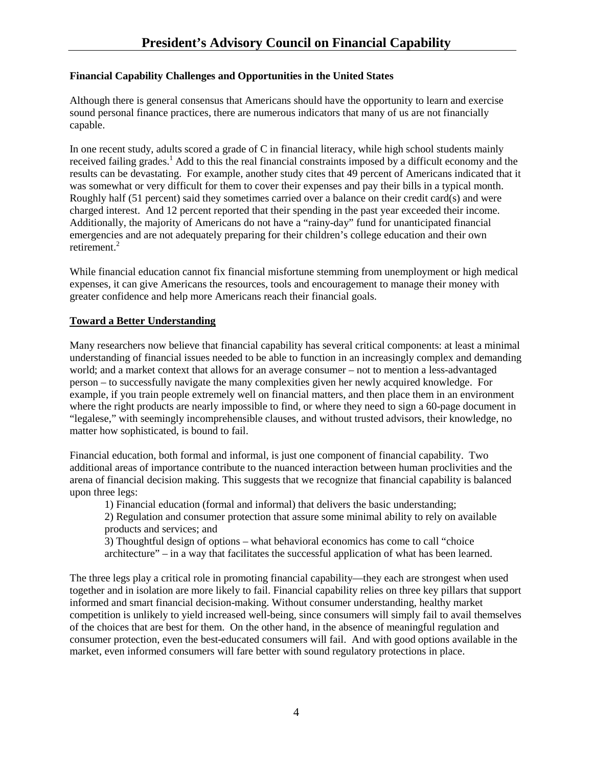# <span id="page-11-0"></span>**Financial Capability Challenges and Opportunities in the United States**

 sound personal finance practices, there are numerous indicators that many of us are not financially capable. Although there is general consensus that Americans should have the opportunity to learn and exercise

capable.<br>In one recent study, adults scored a grade of C in financial literacy, while high school students mainly results can be devastating. For example, another study cites that 49 percent of Americans indicated that it Roughly half (51 percent) said they sometimes carried over a balance on their credit card(s) and were retirement.<sup>2</sup> received failing grades.<sup>1</sup> Add to this the real financial constraints imposed by a difficult economy and the was somewhat or very difficult for them to cover their expenses and pay their bills in a typical month. charged interest. And 12 percent reported that their spending in the past year exceeded their income. Additionally, the majority of Americans do not have a "rainy-day" fund for unanticipated financial emergencies and are not adequately preparing for their children's college education and their own

 While financial education cannot fix financial misfortune stemming from unemployment or high medical expenses, it can give Americans the resources, tools and encouragement to manage their money with greater confidence and help more Americans reach their financial goals.

# **Toward a Better Understanding**

 Many researchers now believe that financial capability has several critical components: at least a minimal person – to successfully navigate the many complexities given her newly acquired knowledge. For where the right products are nearly impossible to find, or where they need to sign a 60-page document in understanding of financial issues needed to be able to function in an increasingly complex and demanding world; and a market context that allows for an average consumer – not to mention a less-advantaged example, if you train people extremely well on financial matters, and then place them in an environment "legalese," with seemingly incomprehensible clauses, and without trusted advisors, their knowledge, no matter how sophisticated, is bound to fail.

 Financial education, both formal and informal, is just one component of financial capability. Two additional areas of importance contribute to the nuanced interaction between human proclivities and the arena of financial decision making. This suggests that we recognize that financial capability is balanced upon three legs:

1) Financial education (formal and informal) that delivers the basic understanding:

2) Regulation and consumer protection that assure some minimal ability to rely on available products and services; and

3) Thoughtful design of options – what behavioral economics has come to call "choice architecture" – in a way that facilitates the successful application of what has been learned.

 together and in isolation are more likely to fail. Financial capability relies on three key pillars that support of the choices that are best for them. On the other hand, in the absence of meaningful regulation and The three legs play a critical role in promoting financial capability—they each are strongest when used informed and smart financial decision-making. Without consumer understanding, healthy market competition is unlikely to yield increased well-being, since consumers will simply fail to avail themselves consumer protection, even the best-educated consumers will fail. And with good options available in the market, even informed consumers will fare better with sound regulatory protections in place.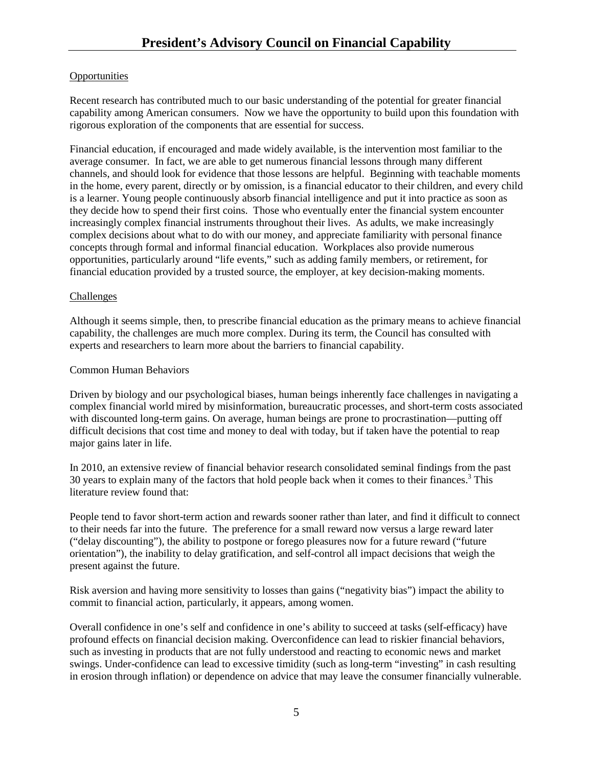# **Opportunities**

 Recent research has contributed much to our basic understanding of the potential for greater financial rigorous exploration of the components that are essential for success. capability among American consumers. Now we have the opportunity to build upon this foundation with

 in the home, every parent, directly or by omission, is a financial educator to their children, and every child is a learner. Young people continuously absorb financial intelligence and put it into practice as soon as they decide how to spend their first coins. Those who eventually enter the financial system encounter complex decisions about what to do with our money, and appreciate familiarity with personal finance financial education provided by a trusted source, the employer, at key decision-making moments.<br>Challenges Financial education, if encouraged and made widely available, is the intervention most familiar to the average consumer. In fact, we are able to get numerous financial lessons through many different channels, and should look for evidence that those lessons are helpful. Beginning with teachable moments increasingly complex financial instruments throughout their lives. As adults, we make increasingly concepts through formal and informal financial education. Workplaces also provide numerous opportunities, particularly around "life events," such as adding family members, or retirement, for

Although it seems simple, then, to prescribe financial education as the primary means to achieve financial capability, the challenges are much more complex. During its term, the Council has consulted with experts and researchers to learn more about the barriers to financial capability.

# Common Human Behaviors

 difficult decisions that cost time and money to deal with today, but if taken have the potential to reap major gains later in life. Driven by biology and our psychological biases, human beings inherently face challenges in navigating a complex financial world mired by misinformation, bureaucratic processes, and short-term costs associated with discounted long-term gains. On average, human beings are prone to procrastination—putting off

30 years to explain many of the factors that hold people back when it comes to their finances.<sup>3</sup> This In 2010, an extensive review of financial behavior research consolidated seminal findings from the past literature review found that:

 People tend to favor short-term action and rewards sooner rather than later, and find it difficult to connect to their needs far into the future. The preference for a small reward now versus a large reward later ("delay discounting"), the ability to postpone or forego pleasures now for a future reward ("future present against the future. orientation"), the inability to delay gratification, and self-control all impact decisions that weigh the

present against the future.<br>Risk aversion and having more sensitivity to losses than gains ("negativity bias") impact the ability to commit to financial action, particularly, it appears, among women.

 profound effects on financial decision making. Overconfidence can lead to riskier financial behaviors, swings. Under-confidence can lead to excessive timidity (such as long-term "investing" in cash resulting in erosion through inflation) or dependence on advice that may leave the consumer financially vulnerable.<br>5 Overall confidence in one's self and confidence in one's ability to succeed at tasks (self-efficacy) have such as investing in products that are not fully understood and reacting to economic news and market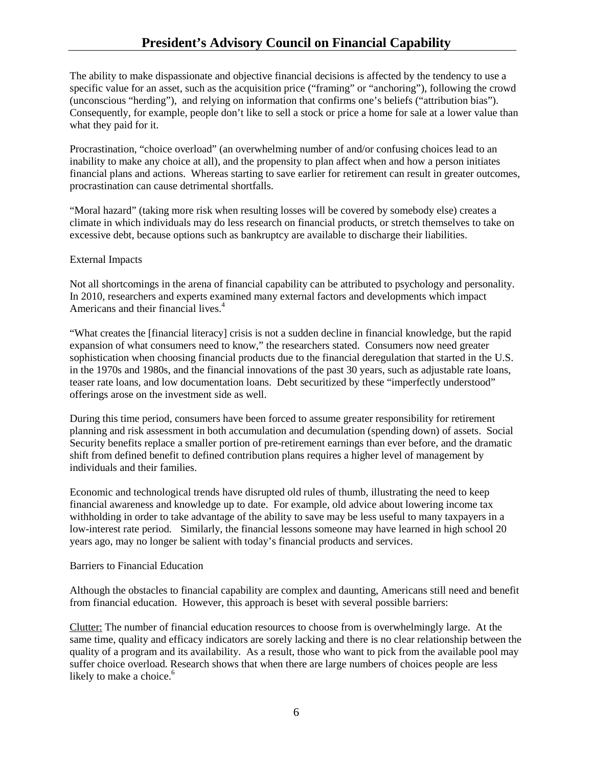specific value for an asset, such as the acquisition price ("framing" or "anchoring"), following the crowd Consequently, for example, people don't like to sell a stock or price a home for sale at a lower value than The ability to make dispassionate and objective financial decisions is affected by the tendency to use a (unconscious "herding"), and relying on information that confirms one's beliefs ("attribution bias"). what they paid for it.

 inability to make any choice at all), and the propensity to plan affect when and how a person initiates financial plans and actions. Whereas starting to save earlier for retirement can result in greater outcomes, Procrastination, "choice overload" (an overwhelming number of and/or confusing choices lead to an procrastination can cause detrimental shortfalls.

"Moral hazard" (taking more risk when resulting losses will be covered by somebody else) creates a climate in which individuals may do less research on financial products, or stretch themselves to take on excessive debt, because options such as bankruptcy are available to discharge their liabilities.

# External Impacts

 Not all shortcomings in the arena of financial capability can be attributed to psychology and personality. In 2010, researchers and experts examined many external factors and developments which impact Americans and their financial lives. 4

 "What creates the [financial literacy] crisis is not a sudden decline in financial knowledge, but the rapid in the 1970s and 1980s, and the financial innovations of the past 30 years, such as adjustable rate loans, expansion of what consumers need to know," the researchers stated. Consumers now need greater sophistication when choosing financial products due to the financial deregulation that started in the U.S. teaser rate loans, and low documentation loans. Debt securitized by these "imperfectly understood" offerings arose on the investment side as well.

 shift from defined benefit to defined contribution plans requires a higher level of management by During this time period, consumers have been forced to assume greater responsibility for retirement planning and risk assessment in both accumulation and decumulation (spending down) of assets. Social Security benefits replace a smaller portion of pre-retirement earnings than ever before, and the dramatic individuals and their families.

 Economic and technological trends have disrupted old rules of thumb, illustrating the need to keep withholding in order to take advantage of the ability to save may be less useful to many taxpayers in a financial awareness and knowledge up to date. For example, old advice about lowering income tax low-interest rate period. Similarly, the financial lessons someone may have learned in high school 20 years ago, may no longer be salient with today's financial products and services.

# Barriers to Financial Education

Although the obstacles to financial capability are complex and daunting, Americans still need and benefit from financial education. However, this approach is beset with several possible barriers:

likely to make a choice.<sup>6</sup> Clutter: The number of financial education resources to choose from is overwhelmingly large. At the same time, quality and efficacy indicators are sorely lacking and there is no clear relationship between the quality of a program and its availability. As a result, those who want to pick from the available pool may suffer choice overload. Research shows that when there are large numbers of choices people are less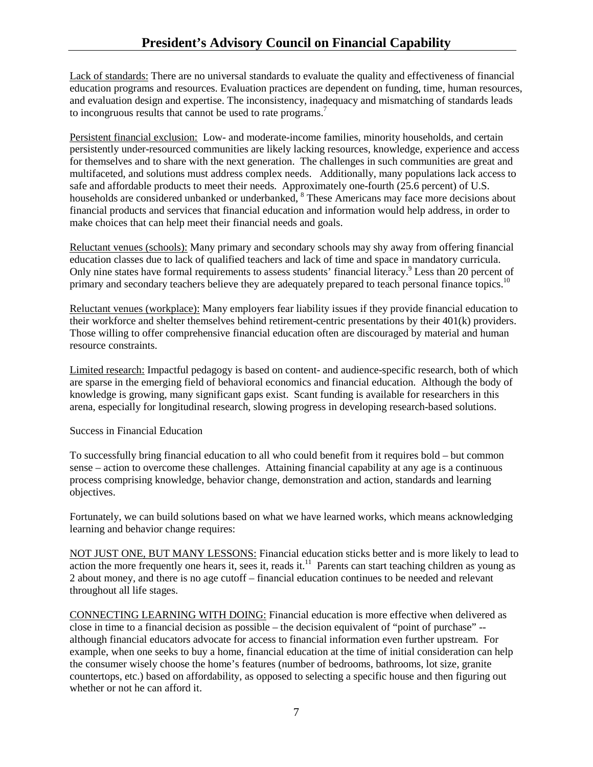Lack of standards: There are no universal standards to evaluate the quality and effectiveness of financial to incongruous results that cannot be used to rate programs.<sup>7</sup> education programs and resources. Evaluation practices are dependent on funding, time, human resources, and evaluation design and expertise. The inconsistency, inadequacy and mismatching of standards leads

Persistent financial exclusion: Low- and moderate-income families, minority households, and certain for themselves and to share with the next generation. The challenges in such communities are great and multifaceted, and solutions must address complex needs. Additionally, many populations lack access to make choices that can help meet their financial needs and goals. persistently under-resourced communities are likely lacking resources, knowledge, experience and access safe and affordable products to meet their needs. Approximately one-fourth (25.6 percent) of U.S. households are considered unbanked or underbanked, <sup>8</sup> These Americans may face more decisions about financial products and services that financial education and information would help address, in order to

Reluctant venues (schools): Many primary and secondary schools may shy away from offering financial education classes due to lack of qualified teachers and lack of time and space in mandatory curricula. primary and secondary teachers believe they are adequately prepared to teach personal finance topics.<sup>10</sup> Only nine states have formal requirements to assess students' financial literacy.<sup>9</sup> Less than 20 percent of

Reluctant venues (workplace): Many employers fear liability issues if they provide financial education to their workforce and shelter themselves behind retirement-centric presentations by their 401(k) providers. Those willing to offer comprehensive financial education often are discouraged by material and human resource constraints.

Limited research: Impactful pedagogy is based on content- and audience-specific research, both of which knowledge is growing, many significant gaps exist. Scant funding is available for researchers in this are sparse in the emerging field of behavioral economics and financial education. Although the body of arena, especially for longitudinal research, slowing progress in developing research-based solutions.

Success in Financial Education

 sense – action to overcome these challenges. Attaining financial capability at any age is a continuous process comprising knowledge, behavior change, demonstration and action, standards and learning objectives. To successfully bring financial education to all who could benefit from it requires bold – but common

Fortunately, we can build solutions based on what we have learned works, which means acknowledging learning and behavior change requires:

action the more frequently one hears it, sees it, reads it.<sup>11</sup> Parents can start teaching children as young as NOT JUST ONE, BUT MANY LESSONS: Financial education sticks better and is more likely to lead to 2 about money, and there is no age cutoff – financial education continues to be needed and relevant throughout all life stages.

 close in time to a financial decision as possible – the decision equivalent of "point of purchase" - example, when one seeks to buy a home, financial education at the time of initial consideration can help whether or not he can afford it. CONNECTING LEARNING WITH DOING: Financial education is more effective when delivered as although financial educators advocate for access to financial information even further upstream. For the consumer wisely choose the home's features (number of bedrooms, bathrooms, lot size, granite countertops, etc.) based on affordability, as opposed to selecting a specific house and then figuring out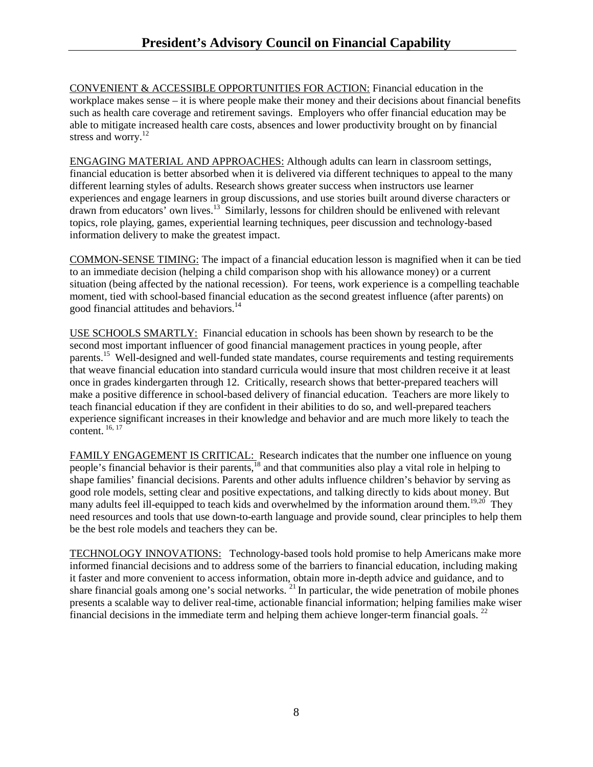workplace makes sense – it is where people make their money and their decisions about financial benefits CONVENIENT & ACCESSIBLE OPPORTUNITIES FOR ACTION: Financial education in the such as health care coverage and retirement savings. Employers who offer financial education may be able to mitigate increased health care costs, absences and lower productivity brought on by financial stress and worry.<sup>12</sup>

 financial education is better absorbed when it is delivered via different techniques to appeal to the many drawn from educators' own lives.<sup>13</sup> Similarly, lessons for children should be enlivened with relevant ENGAGING MATERIAL AND APPROACHES: Although adults can learn in classroom settings, different learning styles of adults. Research shows greater success when instructors use learner experiences and engage learners in group discussions, and use stories built around diverse characters or topics, role playing, games, experiential learning techniques, peer discussion and technology-based information delivery to make the greatest impact.

 to an immediate decision (helping a child comparison shop with his allowance money) or a current COMMON-SENSE TIMING: The impact of a financial education lesson is magnified when it can be tied situation (being affected by the national recession). For teens, work experience is a compelling teachable moment, tied with school-based financial education as the second greatest influence (after parents) on good financial attitudes and behaviors.<sup>14</sup>

parents.<sup>15</sup> Well-designed and well-funded state mandates, course requirements and testing requirements teach financial education if they are confident in their abilities to do so, and well-prepared teachers content.  $^{16, 17}$ USE SCHOOLS SMARTLY: Financial education in schools has been shown by research to be the second most important influencer of good financial management practices in young people, after that weave financial education into standard curricula would insure that most children receive it at least once in grades kindergarten through 12. Critically, research shows that better-prepared teachers will make a positive difference in school-based delivery of financial education. Teachers are more likely to experience significant increases in their knowledge and behavior and are much more likely to teach the

FAMILY ENGAGEMENT IS CRITICAL: Research indicates that the number one influence on young many adults feel ill-equipped to teach kids and overwhelmed by the information around them.<sup>19,20</sup> They people's financial behavior is their parents, $18$  and that communities also play a vital role in helping to shape families' financial decisions. Parents and other adults influence children's behavior by serving as good role models, setting clear and positive expectations, and talking directly to kids about money. But need resources and tools that use down-to-earth language and provide sound, clear principles to help them be the best role models and teachers they can be.

share financial goals among one's social networks. <sup>21</sup> In particular, the wide penetration of mobile phones financial decisions in the immediate term and helping them achieve longer-term financial goals.  $^{22}$ TECHNOLOGY INNOVATIONS: Technology-based tools hold promise to help Americans make more informed financial decisions and to address some of the barriers to financial education, including making it faster and more convenient to access information, obtain more in-depth advice and guidance, and to presents a scalable way to deliver real-time, actionable financial information; helping families make wiser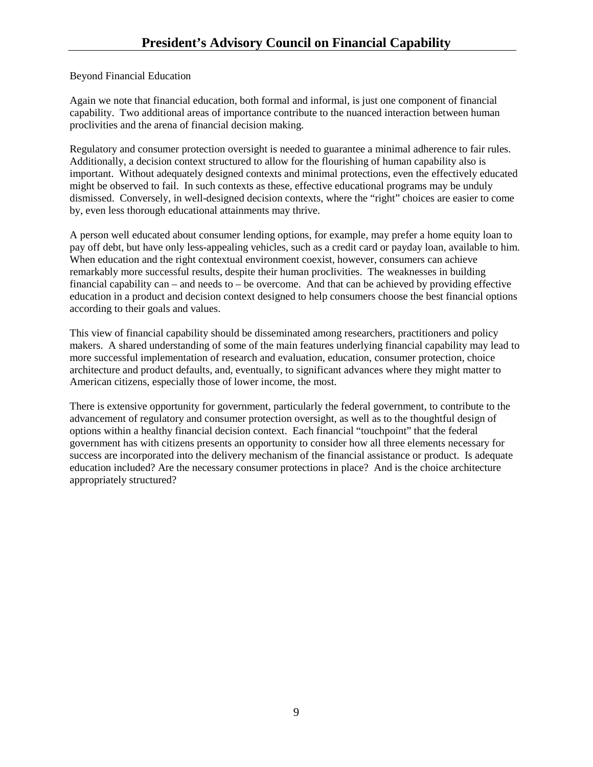# Beyond Financial Education

 Again we note that financial education, both formal and informal, is just one component of financial capability. Two additional areas of importance contribute to the nuanced interaction between human proclivities and the arena of financial decision making.

 important. Without adequately designed contexts and minimal protections, even the effectively educated Regulatory and consumer protection oversight is needed to guarantee a minimal adherence to fair rules. Additionally, a decision context structured to allow for the flourishing of human capability also is might be observed to fail. In such contexts as these, effective educational programs may be unduly dismissed. Conversely, in well-designed decision contexts, where the "right" choices are easier to come by, even less thorough educational attainments may thrive.

 remarkably more successful results, despite their human proclivities. The weaknesses in building financial capability can – and needs to – be overcome. And that can be achieved by providing effective according to their goals and values. A person well educated about consumer lending options, for example, may prefer a home equity loan to pay off debt, but have only less-appealing vehicles, such as a credit card or payday loan, available to him. When education and the right contextual environment coexist, however, consumers can achieve education in a product and decision context designed to help consumers choose the best financial options

 architecture and product defaults, and, eventually, to significant advances where they might matter to American citizens, especially those of lower income, the most. This view of financial capability should be disseminated among researchers, practitioners and policy makers. A shared understanding of some of the main features underlying financial capability may lead to more successful implementation of research and evaluation, education, consumer protection, choice

 There is extensive opportunity for government, particularly the federal government, to contribute to the advancement of regulatory and consumer protection oversight, as well as to the thoughtful design of government has with citizens presents an opportunity to consider how all three elements necessary for options within a healthy financial decision context. Each financial "touchpoint" that the federal success are incorporated into the delivery mechanism of the financial assistance or product. Is adequate education included? Are the necessary consumer protections in place? And is the choice architecture appropriately structured?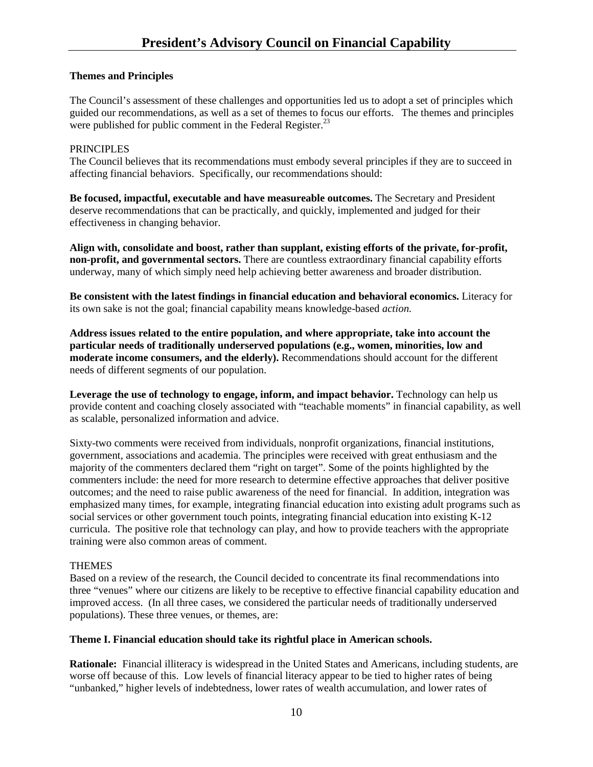# <span id="page-17-0"></span>**Themes and Principles**

 The Council's assessment of these challenges and opportunities led us to adopt a set of principles which guided our recommendations, as well as a set of themes to focus our efforts. The themes and principles were published for public comment in the Federal Register. $^{23}$ 

#### **PRINCIPLES**

 affecting financial behaviors. Specifically, our recommendations should: The Council believes that its recommendations must embody several principles if they are to succeed in

**Be focused, impactful, executable and have measureable outcomes.** The Secretary and President deserve recommendations that can be practically, and quickly, implemented and judged for their effectiveness in changing behavior.

**Align with, consolidate and boost, rather than supplant, existing efforts of the private, for-profit, non-profit, and governmental sectors.** There are countless extraordinary financial capability efforts underway, many of which simply need help achieving better awareness and broader distribution.

**Be consistent with the latest findings in financial education and behavioral economics.** Literacy for its own sake is not the goal; financial capability means knowledge-based *action*.

 **particular needs of traditionally underserved populations (e.g., women, minorities, low and moderate income consumers, and the elderly).** Recommendations should account for the different **Address issues related to the entire population, and where appropriate, take into account the**  needs of different segments of our population.

Leverage the use of technology to engage, inform, and impact behavior. Technology can help us provide content and coaching closely associated with "teachable moments" in financial capability, as well as scalable, personalized information and advice.

 Sixty-two comments were received from individuals, nonprofit organizations, financial institutions, majority of the commenters declared them "right on target". Some of the points highlighted by the outcomes; and the need to raise public awareness of the need for financial. In addition, integration was curricula. The positive role that technology can play, and how to provide teachers with the appropriate government, associations and academia. The principles were received with great enthusiasm and the commenters include: the need for more research to determine effective approaches that deliver positive emphasized many times, for example, integrating financial education into existing adult programs such as social services or other government touch points, integrating financial education into existing K-12 training were also common areas of comment.

#### **THEMES**

 Based on a review of the research, the Council decided to concentrate its final recommendations into three "venues" where our citizens are likely to be receptive to effective financial capability education and improved access. (In all three cases, we considered the particular needs of traditionally underserved populations). These three venues, or themes, are:

## **Theme I. Financial education should take its rightful place in American schools.**

 **Rationale:** Financial illiteracy is widespread in the United States and Americans, including students, are "unbanked," higher levels of indebtedness, lower rates of wealth accumulation, and lower rates of worse off because of this. Low levels of financial literacy appear to be tied to higher rates of being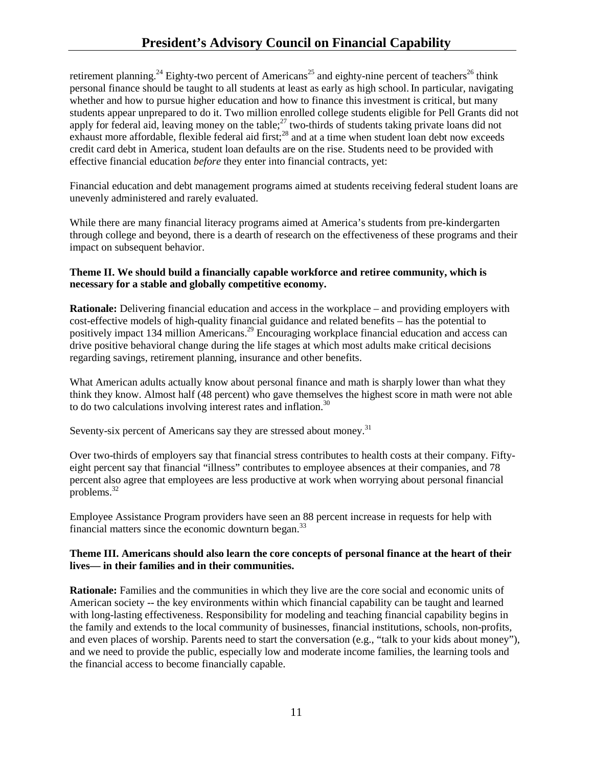retirement planning.<sup>24</sup> Eighty-two percent of Americans<sup>25</sup> and eighty-nine percent of teachers<sup>26</sup> think whether and how to pursue higher education and how to finance this investment is critical, but many apply for federal aid, leaving money on the table; $^{27}$  two-thirds of students taking private loans did not credit card debt in America, student loan defaults are on the rise. Students need to be provided with personal finance should be taught to all students at least as early as high school. In particular, navigating students appear unprepared to do it. Two million enrolled college students eligible for Pell Grants did not exhaust more affordable, flexible federal aid first;<sup>28</sup> and at a time when student loan debt now exceeds effective financial education *before* they enter into financial contracts, yet:

Financial education and debt management programs aimed at students receiving federal student loans are unevenly administered and rarely evaluated.

 through college and beyond, there is a dearth of research on the effectiveness of these programs and their While there are many financial literacy programs aimed at America's students from pre-kindergarten impact on subsequent behavior.

# **Theme II. We should build a financially capable workforce and retiree community, which is necessary for a stable and globally competitive economy.**

 cost-effective models of high-quality financial guidance and related benefits – has the potential to **Rationale:** Delivering financial education and access in the workplace – and providing employers with positively impact 134 million Americans.<sup>29</sup> Encouraging workplace financial education and access can drive positive behavioral change during the life stages at which most adults make critical decisions regarding savings, retirement planning, insurance and other benefits.

 What American adults actually know about personal finance and math is sharply lower than what they to do two calculations involving interest rates and inflation. $30$ think they know. Almost half (48 percent) who gave themselves the highest score in math were not able

Seventy-six percent of Americans say they are stressed about money.<sup>31</sup>

 Over two-thirds of employers say that financial stress contributes to health costs at their company. Fifty- percent also agree that employees are less productive at work when worrying about personal financial problems.<sup>32</sup> eight percent say that financial "illness" contributes to employee absences at their companies, and 78

financial matters since the economic downturn began.<sup>33</sup> Employee Assistance Program providers have seen an 88 percent increase in requests for help with

# **Theme III. Americans should also learn the core concepts of personal finance at the heart of their lives— in their families and in their communities.**

 and even places of worship. Parents need to start the conversation (e.g., "talk to your kids about money"), **Rationale:** Families and the communities in which they live are the core social and economic units of American society -- the key environments within which financial capability can be taught and learned with long-lasting effectiveness. Responsibility for modeling and teaching financial capability begins in the family and extends to the local community of businesses, financial institutions, schools, non-profits, and we need to provide the public, especially low and moderate income families, the learning tools and the financial access to become financially capable.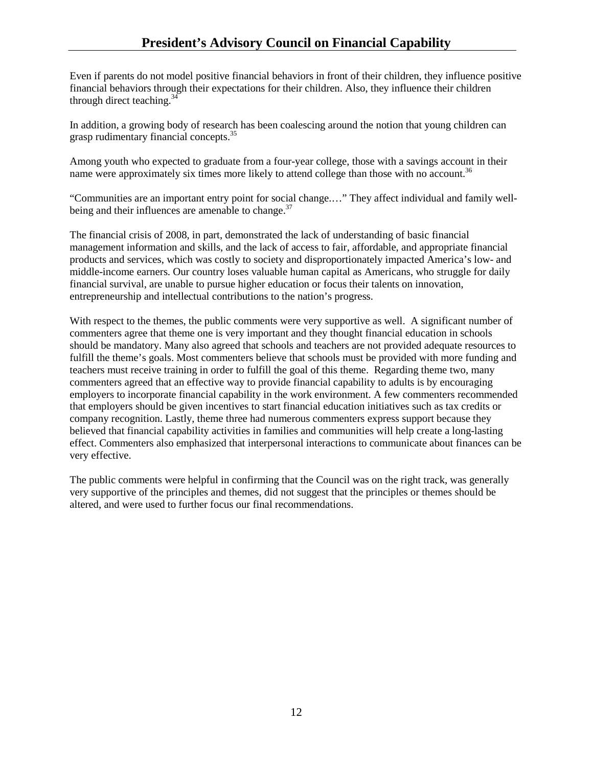Even if parents do not model positive financial behaviors in front of their children, they influence positive financial behaviors through their expectations for their children. Also, they influence their children through direct teaching. $34$ 

In addition, a growing body of research has been coalescing around the notion that young children can grasp rudimentary financial concepts.<sup>35</sup>

 Among youth who expected to graduate from a four-year college, those with a savings account in their name were approximately six times more likely to attend college than those with no account.<sup>36</sup>

 "Communities are an important entry point for social change.…" They affect individual and family wellbeing and their influences are amenable to change.<sup>37</sup>

 financial survival, are unable to pursue higher education or focus their talents on innovation, The financial crisis of 2008, in part, demonstrated the lack of understanding of basic financial management information and skills, and the lack of access to fair, affordable, and appropriate financial products and services, which was costly to society and disproportionately impacted America's low- and middle-income earners. Our country loses valuable human capital as Americans, who struggle for daily entrepreneurship and intellectual contributions to the nation's progress.

 With respect to the themes, the public comments were very supportive as well. A significant number of fulfill the theme's goals. Most commenters believe that schools must be provided with more funding and commenters agreed that an effective way to provide financial capability to adults is by encouraging that employers should be given incentives to start financial education initiatives such as tax credits or very effective. commenters agree that theme one is very important and they thought financial education in schools should be mandatory. Many also agreed that schools and teachers are not provided adequate resources to teachers must receive training in order to fulfill the goal of this theme. Regarding theme two, many employers to incorporate financial capability in the work environment. A few commenters recommended company recognition. Lastly, theme three had numerous commenters express support because they believed that financial capability activities in families and communities will help create a long-lasting effect. Commenters also emphasized that interpersonal interactions to communicate about finances can be

very effective.<br>The public comments were helpful in confirming that the Council was on the right track, was generally altered, and were used to further focus our final recommendations. very supportive of the principles and themes, did not suggest that the principles or themes should be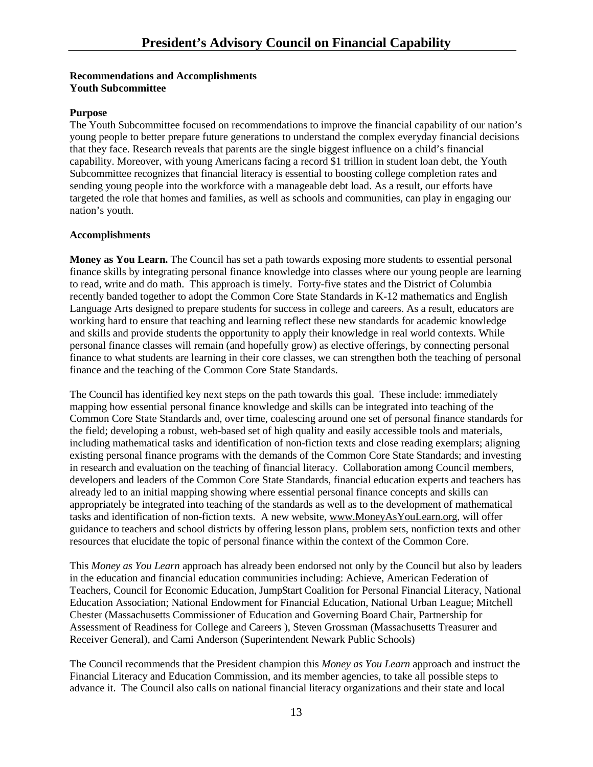# <span id="page-20-0"></span>**Recommendations and Accomplishments Youth Subcommittee**

#### **Purpose**

 Subcommittee recognizes that financial literacy is essential to boosting college completion rates and The Youth Subcommittee focused on recommendations to improve the financial capability of our nation's young people to better prepare future generations to understand the complex everyday financial decisions that they face. Research reveals that parents are the single biggest influence on a child's financial capability. Moreover, with young Americans facing a record \$1 trillion in student loan debt, the Youth sending young people into the workforce with a manageable debt load. As a result, our efforts have targeted the role that homes and families, as well as schools and communities, can play in engaging our nation's youth.

#### **Accomplishments**

 Language Arts designed to prepare students for success in college and careers. As a result, educators are and skills and provide students the opportunity to apply their knowledge in real world contexts. While finance and the teaching of the Common Core State Standards. **Money as You Learn.** The Council has set a path towards exposing more students to essential personal finance skills by integrating personal finance knowledge into classes where our young people are learning to read, write and do math. This approach is timely. Forty-five states and the District of Columbia recently banded together to adopt the Common Core State Standards in K-12 mathematics and English working hard to ensure that teaching and learning reflect these new standards for academic knowledge personal finance classes will remain (and hopefully grow) as elective offerings, by connecting personal finance to what students are learning in their core classes, we can strengthen both the teaching of personal

 The Council has identified key next steps on the path towards this goal. These include: immediately mapping how essential personal finance knowledge and skills can be integrated into teaching of the Common Core State Standards and, over time, coalescing around one set of personal finance standards for including mathematical tasks and identification of non-fiction texts and close reading exemplars; aligning in research and evaluation on the teaching of financial literacy. Collaboration among Council members, developers and leaders of the Common Core State Standards, financial education experts and teachers has already led to an initial mapping showing where essential personal finance concepts and skills can appropriately be integrated into teaching of the standards as well as to the development of mathematical the field; developing a robust, web-based set of high quality and easily accessible tools and materials, existing personal finance programs with the demands of the Common Core State Standards; and investing tasks and identification of non-fiction texts. A new website, www.MoneyAsYouLearn.org, will offer guidance to teachers and school districts by offering lesson plans, problem sets, nonfiction texts and other resources that elucidate the topic of personal finance within the context of the Common Core.

 Teachers, Council for Economic Education, Jump\$tart Coalition for Personal Financial Literacy, National Receiver General), and Cami Anderson (Superintendent Newark Public Schools) This *Money as You Learn* approach has already been endorsed not only by the Council but also by leaders in the education and financial education communities including: Achieve, American Federation of Education Association; National Endowment for Financial Education, National Urban League; Mitchell Chester (Massachusetts Commissioner of Education and Governing Board Chair, Partnership for Assessment of Readiness for College and Careers ), Steven Grossman (Massachusetts Treasurer and

 Financial Literacy and Education Commission, and its member agencies, to take all possible steps to The Council recommends that the President champion this *Money as You Learn* approach and instruct the advance it. The Council also calls on national financial literacy organizations and their state and local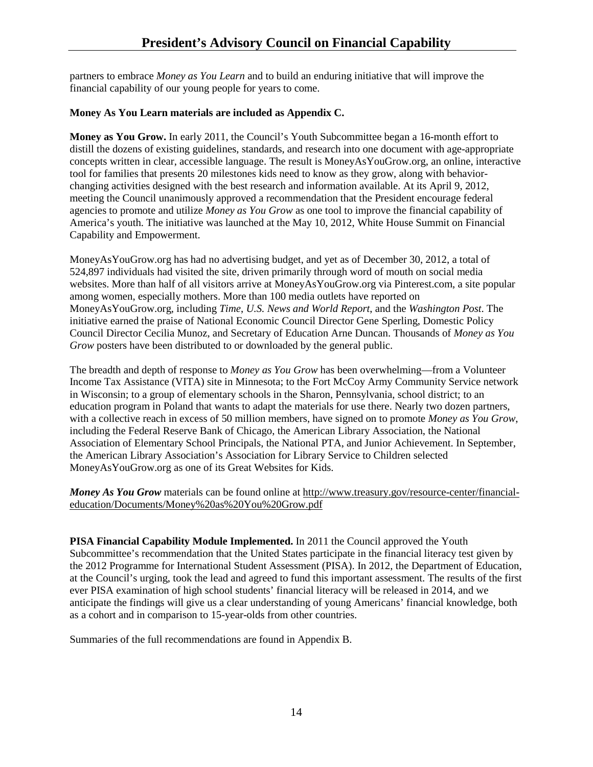financial capability of our young people for years to come. partners to embrace *Money as You Learn* and to build an enduring initiative that will improve the

# **Money As You Learn materials are included as Appendix C.**

 **Money as You Grow.** In early 2011, the Council's Youth Subcommittee began a 16-month effort to tool for families that presents 20 milestones kids need to know as they grow, along with behavior- agencies to promote and utilize *Money as You Grow* as one tool to improve the financial capability of America's youth. The initiative was launched at the May 10, 2012, White House Summit on Financial distill the dozens of existing guidelines, standards, and research into one document with age-appropriate concepts written in clear, accessible language. The result is MoneyAsYouGrow.org, an online, interactive changing activities designed with the best research and information available. At its April 9, 2012, meeting the Council unanimously approved a recommendation that the President encourage federal Capability and Empowerment.

MoneyAsYouGrow.org has had no advertising budget, and yet as of December 30, 2012, a total of 524,897 individuals had visited the site, driven primarily through word of mouth on social media websites. More than half of all visitors arrive at MoneyAsYouGrow.org via Pinterest.com, a site popular among women, especially mothers. More than 100 media outlets have reported on MoneyAsYouGrow.org, including *Time*, *U.S. News and World Report*, and the *Washington Post*. The initiative earned the praise of National Economic Council Director Gene Sperling, Domestic Policy Council Director Cecilia Munoz, and Secretary of Education Arne Duncan. Thousands of *Money as You Grow* [posters](http://www.moneyasyougrow.org/#posters) have been distributed to or downloaded by the general public.

 Income Tax Assistance (VITA) site in Minnesota; to the Fort McCoy Army Community Service network in Wisconsin; to a group of elementary schools in the Sharon, Pennsylvania, school district; to an education program in Poland that wants to adapt the materials for use there. Nearly two dozen partners, The breadth and depth of response to *Money as You Grow* has been overwhelming—from a Volunteer with a collective reach in excess of 50 million members, have signed on to promote *Money as You Grow*, including the Federal Reserve Bank of Chicago, the American Library Association, the National Association of Elementary School Principals, the National PTA, and Junior Achievement. In September, the American Library Association's Association for Library Service to Children selected MoneyAsYouGrow.org as one of its Great Websites for Kids.

 education/Documents/Money%20as%20You%20Grow.pdf *Money As You Grow* [materials can be found online at http://www.treasury.gov/resource-center/financial-](http://www.treasury.gov/resource-center/financial-education/Documents/Money%20as%20You%20Grow.pdf)

**PISA Financial Capability Module Implemented.** In 2011 the Council approved the Youth Subcommittee's recommendation that the United States participate in the financial literacy test given by the 2012 Programme for International Student Assessment (PISA). In 2012, the Department of Education, at the Council's urging, took the lead and agreed to fund this important assessment. The results of the first ever PISA examination of high school students' financial literacy will be released in 2014, and we anticipate the findings will give us a clear understanding of young Americans' financial knowledge, both as a cohort and in comparison to 15-year-olds from other countries.

Summaries of the full recommendations are found in Appendix B.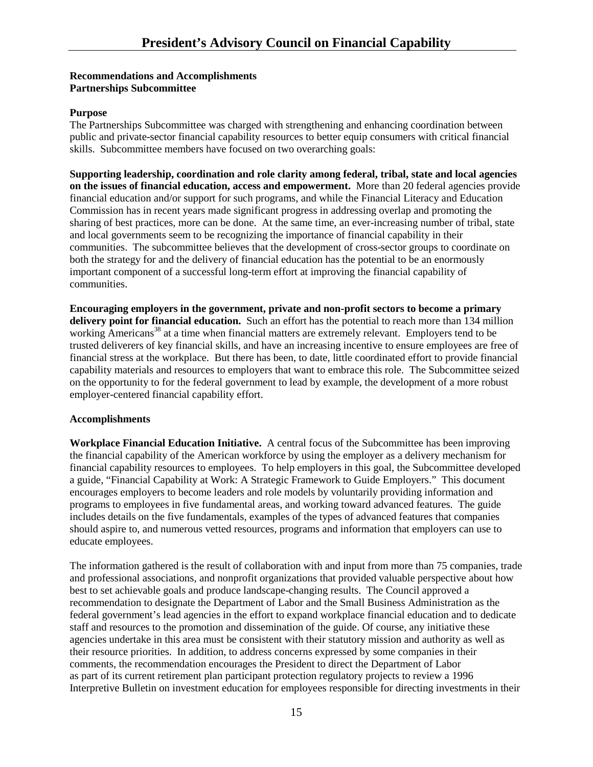# <span id="page-22-0"></span>**Recommendations and Accomplishments Partnerships Subcommittee**

### **Purpose**

 skills. Subcommittee members have focused on two overarching goals: The Partnerships Subcommittee was charged with strengthening and enhancing coordination between public and private-sector financial capability resources to better equip consumers with critical financial

 communities. The subcommittee believes that the development of cross-sector groups to coordinate on communities. **Supporting leadership, coordination and role clarity among federal, tribal, state and local agencies on the issues of financial education, access and empowerment.** More than 20 federal agencies provide financial education and/or support for such programs, and while the Financial Literacy and Education Commission has in recent years made significant progress in addressing overlap and promoting the sharing of best practices, more can be done. At the same time, an ever-increasing number of tribal, state and local governments seem to be recognizing the importance of financial capability in their both the strategy for and the delivery of financial education has the potential to be an enormously important component of a successful long-term effort at improving the financial capability of

 financial stress at the workplace. But there has been, to date, little coordinated effort to provide financial capability materials and resources to employers that want to embrace this role. The Subcommittee seized **Encouraging employers in the government, private and non-profit sectors to become a primary delivery point for financial education.** Such an effort has the potential to reach more than 134 million working Americans<sup>38</sup> at a time when financial matters are extremely relevant. Employers tend to be trusted deliverers of key financial skills, and have an increasing incentive to ensure employees are free of on the opportunity to for the federal government to lead by example, the development of a more robust employer-centered financial capability effort.

#### **Accomplishments**

 a guide, "Financial Capability at Work: A Strategic Framework to Guide Employers." This document includes details on the five fundamentals, examples of the types of advanced features that companies educate employees. **Workplace Financial Education Initiative.** A central focus of the Subcommittee has been improving the financial capability of the American workforce by using the employer as a delivery mechanism for financial capability resources to employees. To help employers in this goal, the Subcommittee developed encourages employers to become leaders and role models by voluntarily providing information and programs to employees in five fundamental areas, and working toward advanced features. The guide should aspire to, and numerous vetted resources, programs and information that employers can use to

educate employees.<br>The information gathered is the result of collaboration with and input from more than 75 companies, trade best to set achievable goals and produce landscape-changing results. The Council approved a comments, the recommendation encourages the President to direct the Department of Labor and professional associations, and nonprofit organizations that provided valuable perspective about how recommendation to designate the Department of Labor and the Small Business Administration as the federal government's lead agencies in the effort to expand workplace financial education and to dedicate staff and resources to the promotion and dissemination of the guide. Of course, any initiative these agencies undertake in this area must be consistent with their statutory mission and authority as well as their resource priorities. In addition, to address concerns expressed by some companies in their as part of its current retirement plan participant protection regulatory projects to review a 1996 Interpretive Bulletin on investment education for employees responsible for directing investments in their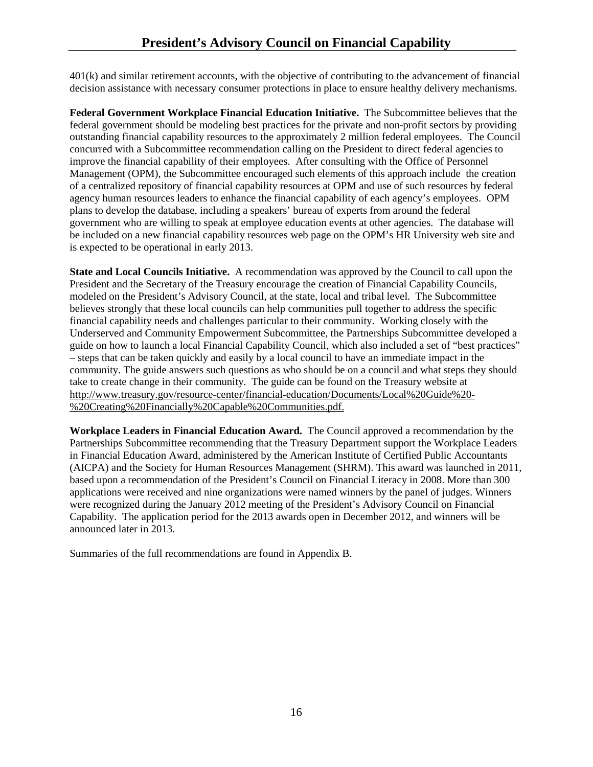401(k) and similar retirement accounts, with the objective of contributing to the advancement of financial decision assistance with necessary consumer protections in place to ensure healthy delivery mechanisms.

 **Federal Government Workplace Financial Education Initiative.** The Subcommittee believes that the federal government should be modeling best practices for the private and non-profit sectors by providing outstanding financial capability resources to the approximately 2 million federal employees. The Council concurred with a Subcommittee recommendation calling on the President to direct federal agencies to of a centralized repository of financial capability resources at OPM and use of such resources by federal agency human resources leaders to enhance the financial capability of each agency's employees. OPM government who are willing to speak at employee education events at other agencies. The database will be included on a new financial capability resources web page on the OPM's HR University web site and improve the financial capability of their employees. After consulting with the Office of Personnel Management (OPM), the Subcommittee encouraged such elements of this approach include the creation plans to develop the database, including a speakers' bureau of experts from around the federal is expected to be operational in early 2013.

 **State and Local Councils Initiative.** A recommendation was approved by the Council to call upon the believes strongly that these local councils can help communities pull together to address the specific financial capability needs and challenges particular to their community. Working closely with the take to create change in their community. The guide can be found on the Treasury website at President and the Secretary of the Treasury encourage the creation of Financial Capability Councils, modeled on the President's Advisory Council, at the state, local and tribal level. The Subcommittee Underserved and Community Empowerment Subcommittee, the Partnerships Subcommittee developed a guide on how to launch a local Financial Capability Council, which also included a set of "best practices" – steps that can be taken quickly and easily by a local council to have an immediate impact in the community. The guide answers such questions as who should be on a council and what steps they should [http://www.treasury.gov/resource-center/financial-education/Documents/Local%20Guide%20](http://www.treasury.gov/resource-center/financial-education/Documents/Local%20Guide%20-%20Creating%20Financially%20Capable%20Communities.pdf) %20Creating%20Financially%20Capable%20Communities.pdf.

 **Workplace Leaders in Financial Education Award.** The Council approved a recommendation by the applications were received and nine organizations were named winners by the panel of judges. Winners Partnerships Subcommittee recommending that the Treasury Department support the Workplace Leaders in Financial Education Award, administered by the American Institute of Certified Public Accountants (AICPA) and the Society for Human Resources Management (SHRM). This award was launched in 2011, based upon a recommendation of the President's Council on Financial Literacy in 2008. More than 300 were recognized during the January 2012 meeting of the President's Advisory Council on Financial Capability. The application period for the 2013 awards open in December 2012, and winners will be announced later in 2013.

Summaries of the full recommendations are found in Appendix B.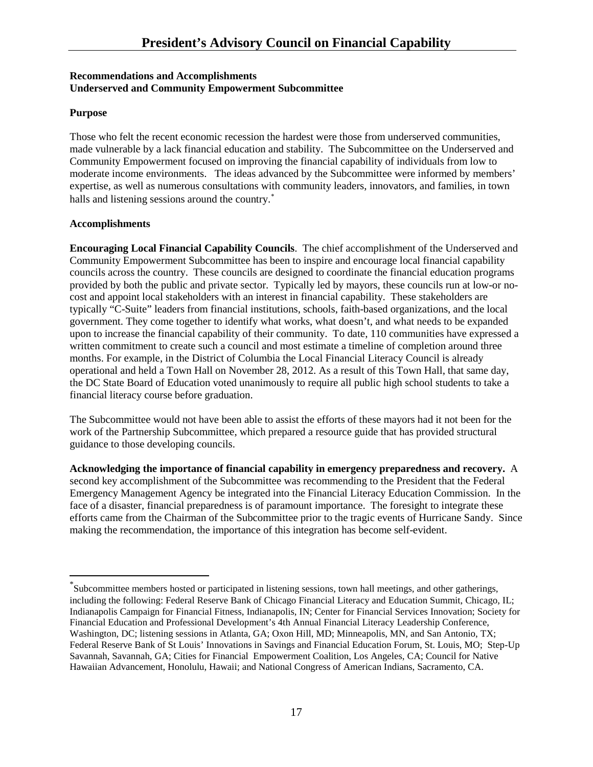### <span id="page-24-0"></span>**Recommendations and Accomplishments Underserved and Community Empowerment Subcommittee**

# **Purpose**

 moderate income environments. The ideas advanced by the Subcommittee were informed by members' expertise, as well as numerous consultations with community leaders, innovators, and families, in town Those who felt the recent economic recession the hardest were those from underserved communities, made vulnerable by a lack financial education and stability. The Subcommittee on the Underserved and Community Empowerment focused on improving the financial capability of individuals from low to halls and listening sessions around the country.<sup>∗</sup>

# **Accomplishments**

 $\overline{a}$ 

 cost and appoint local stakeholders with an interest in financial capability. These stakeholders are government. They come together to identify what works, what doesn't, and what needs to be expanded upon to increase the financial capability of their community. To date, 110 communities have expressed a operational and held a Town Hall on November 28, 2012. As a result of this Town Hall, that same day, financial literacy course before graduation. **Encouraging Local Financial Capability Councils**. The chief accomplishment of the Underserved and Community Empowerment Subcommittee has been to inspire and encourage local financial capability councils across the country. These councils are designed to coordinate the financial education programs provided by both the public and private sector. Typically led by mayors, these councils run at low-or notypically "C-Suite" leaders from financial institutions, schools, faith-based organizations, and the local written commitment to create such a council and most estimate a timeline of completion around three months. For example, in the District of Columbia the Local Financial Literacy Council is already the DC State Board of Education voted unanimously to require all public high school students to take a

 work of the Partnership Subcommittee, which prepared a resource guide that has provided structural guidance to those developing councils. The Subcommittee would not have been able to assist the efforts of these mayors had it not been for the

 **Acknowledging the importance of financial capability in emergency preparedness and recovery.** A second key accomplishment of the Subcommittee was recommending to the President that the Federal face of a disaster, financial preparedness is of paramount importance. The foresight to integrate these making the recommendation, the importance of this integration has become self-evident. making the recommendation, the importance of this integration has become self-evident.<br>\*<br>Subcommittee members hosted or participated in listening sessions, town hall meetings, and other gatherings, Emergency Management Agency be integrated into the Financial Literacy Education Commission. In the efforts came from the Chairman of the Subcommittee prior to the tragic events of Hurricane Sandy. Since

 Indianapolis Campaign for Financial Fitness, Indianapolis, IN; Center for Financial Services Innovation; Society for Financial Education and Professional Development's 4th Annual Financial Literacy Leadership Conference, Savannah, Savannah, GA; Cities for Financial Empowerment Coalition, Los Angeles, CA; Council for Native including the following: Federal Reserve Bank of Chicago Financial Literacy and Education Summit, Chicago, IL; Washington, DC; listening sessions in Atlanta, GA; Oxon Hill, MD; Minneapolis, MN, and San Antonio, TX; Federal Reserve Bank of St Louis' Innovations in Savings and Financial Education Forum, St. Louis, MO; Step-Up Hawaiian Advancement, Honolulu, Hawaii; and National Congress of American Indians, Sacramento, CA.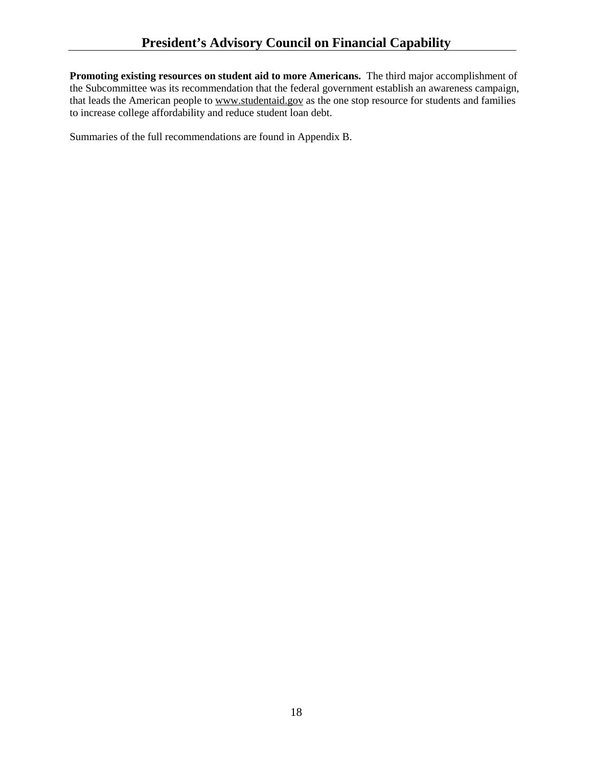**Promoting existing resources on student aid to more Americans.** The third major accomplishment of that leads the American people to [www.studentaid.gov](http://studentaid.gov/) as the one stop resource for students and families to increase college affordability and reduce student loan debt. the Subcommittee was its recommendation that the federal government establish an awareness campaign,

to increase college affordability and reduce student loan debt. Summaries of the full recommendations are found in Appendix B.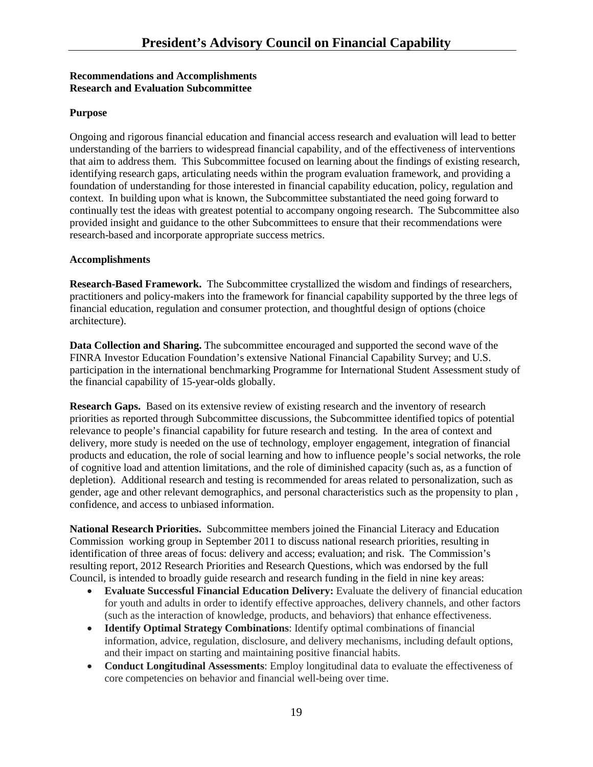# <span id="page-26-0"></span>**Recommendations and Accomplishments Research and Evaluation Subcommittee**

# **Purpose**

 Ongoing and rigorous financial education and financial access research and evaluation will lead to better that aim to address them. This Subcommittee focused on learning about the findings of existing research, continually test the ideas with greatest potential to accompany ongoing research. The Subcommittee also provided insight and guidance to the other Subcommittees to ensure that their recommendations were research-based and incorporate appropriate success metrics. understanding of the barriers to widespread financial capability, and of the effectiveness of interventions identifying research gaps, articulating needs within the program evaluation framework, and providing a foundation of understanding for those interested in financial capability education, policy, regulation and context. In building upon what is known, the Subcommittee substantiated the need going forward to

# **Accomplishments**

 **Research-Based Framework.** The Subcommittee crystallized the wisdom and findings of researchers, financial education, regulation and consumer protection, and thoughtful design of options (choice practitioners and policy-makers into the framework for financial capability supported by the three legs of architecture).

 **Data Collection and Sharing.** The subcommittee encouraged and supported the second wave of the participation in the international benchmarking Programme for International Student Assessment study of the financial capability of 15-year-olds globally. FINRA Investor Education Foundation's extensive National Financial Capability Survey; and U.S.

 **Research Gaps.** Based on its extensive review of existing research and the inventory of research products and education, the role of social learning and how to influence people's social networks, the role depletion). Additional research and testing is recommended for areas related to personalization, such as priorities as reported through Subcommittee discussions, the Subcommittee identified topics of potential relevance to people's financial capability for future research and testing. In the area of context and delivery, more study is needed on the use of technology, employer engagement, integration of financial of cognitive load and attention limitations, and the role of diminished capacity (such as, as a function of gender, age and other relevant demographics, and personal characteristics such as the propensity to plan , confidence, and access to unbiased information.

 identification of three areas of focus: delivery and access; evaluation; and risk. The Commission's resulting report, 2012 Research Priorities and Research Questions, which was endorsed by the full **National Research Priorities.** Subcommittee members joined the Financial Literacy and Education Commission working group in September 2011 to discuss national research priorities, resulting in Council, is intended to broadly guide research and research funding in the field in nine key areas:

- • **Evaluate Successful Financial Education Delivery:** Evaluate the delivery of financial education for youth and adults in order to identify effective approaches, delivery channels, and other factors (such as the interaction of knowledge, products, and behaviors) that enhance effectiveness.
- information, advice, regulation, disclosure, and delivery mechanisms, including default options, • **Identify Optimal Strategy Combinations**: Identify optimal combinations of financial and their impact on starting and maintaining positive financial habits.
- **Conduct Longitudinal Assessments**: Employ longitudinal data to evaluate the effectiveness of core competencies on behavior and financial well-being over time.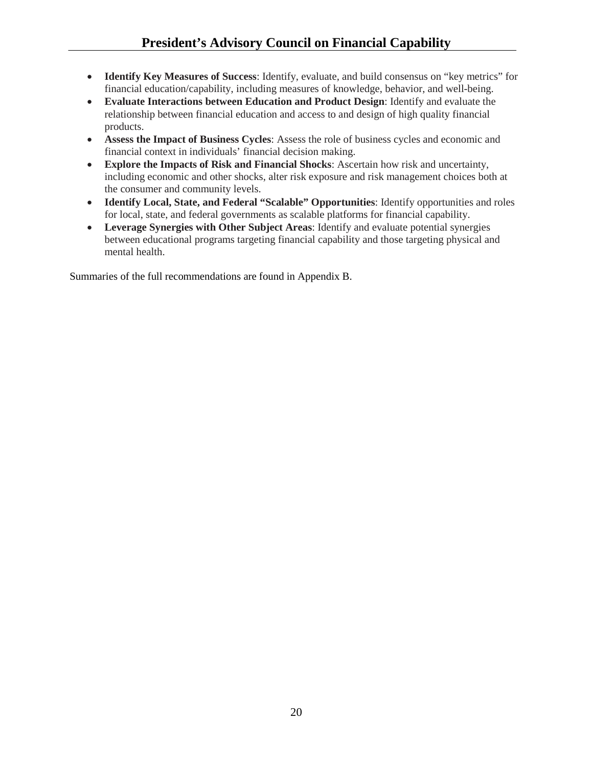- • **Identify Key Measures of Success**: Identify, evaluate, and build consensus on "key metrics" for financial education/capability, including measures of knowledge, behavior, and well-being.
- • **Evaluate Interactions between Education and Product Design**: Identify and evaluate the relationship between financial education and access to and design of high quality financial products.
- • **Assess the Impact of Business Cycles**: Assess the role of business cycles and economic and financial context in individuals' financial decision making.
- **Explore the Impacts of Risk and Financial Shocks**: Ascertain how risk and uncertainty, including economic and other shocks, alter risk exposure and risk management choices both at the consumer and community levels.
- • **Identify Local, State, and Federal "Scalable" Opportunities**: Identify opportunities and roles for local, state, and federal governments as scalable platforms for financial capability.
- • **Leverage Synergies with Other Subject Areas**: Identify and evaluate potential synergies between educational programs targeting financial capability and those targeting physical and mental health.

Summaries of the full recommendations are found in Appendix B.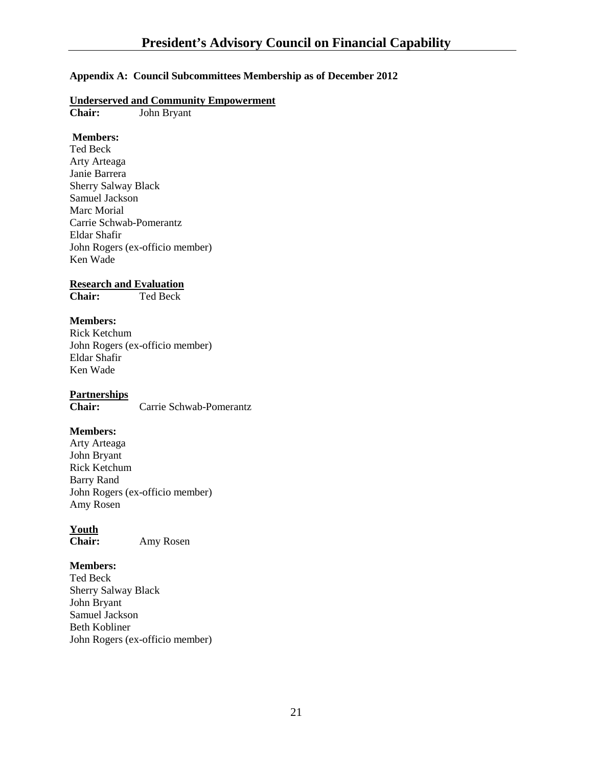# <span id="page-28-0"></span> **Appendix A: Council Subcommittees Membership as of December 2012**

#### **Underserved and Community Empowerment**

**Chair:** John Bryant

# **Members:**

Ted Beck Arty Arteaga Janie Barrera Sherry Salway Black Samuel Jackson Marc Morial Carrie Schwab-Pomerantz Eldar Shafir John Rogers (ex-officio member) Ken Wade

# **Research and Evaluation**

**Chair:** Ted Beck

# **Members:**

Rick Ketchum John Rogers (ex-officio member) Eldar Shafir Ken Wade

# **Partnerships**

**Chair:** Carrie Schwab-Pomerantz

# **Members:**

 Amy Rosen Arty Arteaga John Bryant Rick Ketchum Barry Rand John Rogers (ex-officio member)

#### **Chair: Youth**

**Chair:** Amy Rosen

# **Members:**

 Sherry Salway Black John Bryant Ted Beck Samuel Jackson Beth Kobliner John Rogers (ex-officio member)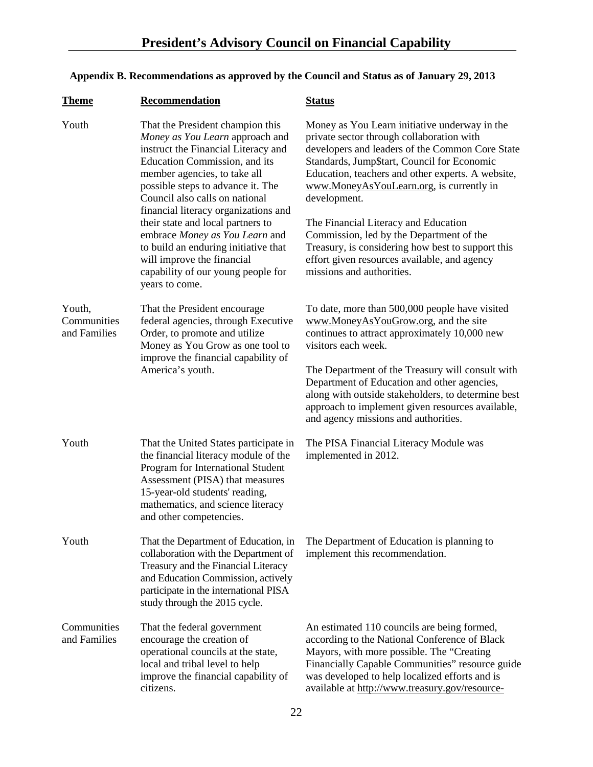#### <span id="page-29-0"></span> **Appendix B. Recommendations as approved by the Council and Status as of January 29, 2013**

| <b>Theme</b>                          | Recommendation                                                                                                                                                                                                                                                                                                                                                                                                                                                                                  | <b>Status</b>                                                                                                                                                                                                                                                                                                                                                                                                                                                                                                                       |
|---------------------------------------|-------------------------------------------------------------------------------------------------------------------------------------------------------------------------------------------------------------------------------------------------------------------------------------------------------------------------------------------------------------------------------------------------------------------------------------------------------------------------------------------------|-------------------------------------------------------------------------------------------------------------------------------------------------------------------------------------------------------------------------------------------------------------------------------------------------------------------------------------------------------------------------------------------------------------------------------------------------------------------------------------------------------------------------------------|
| Youth                                 | That the President champion this<br>Money as You Learn approach and<br>instruct the Financial Literacy and<br>Education Commission, and its<br>member agencies, to take all<br>possible steps to advance it. The<br>Council also calls on national<br>financial literacy organizations and<br>their state and local partners to<br>embrace Money as You Learn and<br>to build an enduring initiative that<br>will improve the financial<br>capability of our young people for<br>years to come. | Money as You Learn initiative underway in the<br>private sector through collaboration with<br>developers and leaders of the Common Core State<br>Standards, Jump\$tart, Council for Economic<br>Education, teachers and other experts. A website,<br>www.MoneyAsYouLearn.org, is currently in<br>development.<br>The Financial Literacy and Education<br>Commission, led by the Department of the<br>Treasury, is considering how best to support this<br>effort given resources available, and agency<br>missions and authorities. |
| Youth,<br>Communities<br>and Families | That the President encourage<br>federal agencies, through Executive<br>Order, to promote and utilize<br>Money as You Grow as one tool to<br>improve the financial capability of<br>America's youth.                                                                                                                                                                                                                                                                                             | To date, more than 500,000 people have visited<br>www.MoneyAsYouGrow.org, and the site<br>continues to attract approximately 10,000 new<br>visitors each week.<br>The Department of the Treasury will consult with<br>Department of Education and other agencies,<br>along with outside stakeholders, to determine best<br>approach to implement given resources available,<br>and agency missions and authorities.                                                                                                                 |
| Youth                                 | That the United States participate in<br>the financial literacy module of the<br>Program for International Student<br>Assessment (PISA) that measures<br>15-year-old students' reading,<br>mathematics, and science literacy<br>and other competencies.                                                                                                                                                                                                                                         | The PISA Financial Literacy Module was<br>implemented in 2012.                                                                                                                                                                                                                                                                                                                                                                                                                                                                      |
| Youth                                 | That the Department of Education, in<br>collaboration with the Department of<br>Treasury and the Financial Literacy<br>and Education Commission, actively<br>participate in the international PISA<br>study through the 2015 cycle.                                                                                                                                                                                                                                                             | The Department of Education is planning to<br>implement this recommendation.                                                                                                                                                                                                                                                                                                                                                                                                                                                        |
| Communities<br>and Families           | That the federal government<br>encourage the creation of<br>operational councils at the state,<br>local and tribal level to help<br>improve the financial capability of<br>citizens.                                                                                                                                                                                                                                                                                                            | An estimated 110 councils are being formed,<br>according to the National Conference of Black<br>Mayors, with more possible. The "Creating<br>Financially Capable Communities" resource guide<br>was developed to help localized efforts and is<br>available at http://www.treasury.gov/resource-                                                                                                                                                                                                                                    |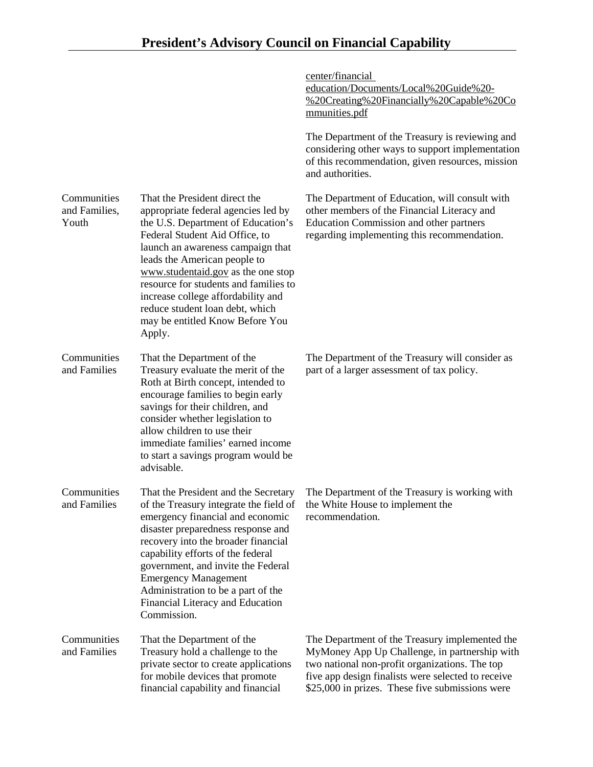|                                       |                                                                                                                                                                                                                                                                                                                                                                                                                                     | center/financial<br>education/Documents/Local%20Guide%20-<br>%20Creating%20Financially%20Capable%20Co<br>mmunities.pdf                                                                                                                                     |
|---------------------------------------|-------------------------------------------------------------------------------------------------------------------------------------------------------------------------------------------------------------------------------------------------------------------------------------------------------------------------------------------------------------------------------------------------------------------------------------|------------------------------------------------------------------------------------------------------------------------------------------------------------------------------------------------------------------------------------------------------------|
|                                       |                                                                                                                                                                                                                                                                                                                                                                                                                                     | The Department of the Treasury is reviewing and<br>considering other ways to support implementation<br>of this recommendation, given resources, mission<br>and authorities.                                                                                |
| Communities<br>and Families,<br>Youth | That the President direct the<br>appropriate federal agencies led by<br>the U.S. Department of Education's<br>Federal Student Aid Office, to<br>launch an awareness campaign that<br>leads the American people to<br>www.studentaid.gov as the one stop<br>resource for students and families to<br>increase college affordability and<br>reduce student loan debt, which<br>may be entitled Know Before You<br>Apply.              | The Department of Education, will consult with<br>other members of the Financial Literacy and<br><b>Education Commission and other partners</b><br>regarding implementing this recommendation.                                                             |
| Communities<br>and Families           | That the Department of the<br>Treasury evaluate the merit of the<br>Roth at Birth concept, intended to<br>encourage families to begin early<br>savings for their children, and<br>consider whether legislation to<br>allow children to use their<br>immediate families' earned income<br>to start a savings program would be<br>advisable.                                                                                          | The Department of the Treasury will consider as<br>part of a larger assessment of tax policy.                                                                                                                                                              |
| Communities<br>and Families           | That the President and the Secretary<br>of the Treasury integrate the field of the White House to implement the<br>emergency financial and economic<br>disaster preparedness response and<br>recovery into the broader financial<br>capability efforts of the federal<br>government, and invite the Federal<br><b>Emergency Management</b><br>Administration to be a part of the<br>Financial Literacy and Education<br>Commission. | The Department of the Treasury is working with<br>recommendation.                                                                                                                                                                                          |
| Communities<br>and Families           | That the Department of the<br>Treasury hold a challenge to the<br>private sector to create applications<br>for mobile devices that promote<br>financial capability and financial                                                                                                                                                                                                                                                    | The Department of the Treasury implemented the<br>MyMoney App Up Challenge, in partnership with<br>two national non-profit organizations. The top<br>five app design finalists were selected to receive<br>\$25,000 in prizes. These five submissions were |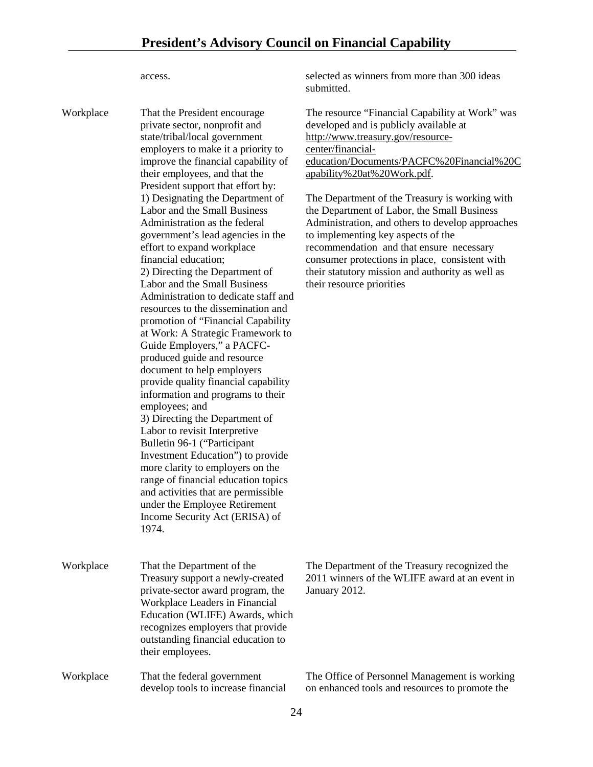Workplace That the President encourage

private sector, nonprofit and state/tribal/local government employers to make it a priority to improve the financial capability of their employees, and that the President support that effort by: 1) Designating the Department of Labor and the Small Business Administration as the federal government's lead agencies in the effort to expand workplace financial education; 2) Directing the Department of Labor and the Small Business Administration to dedicate staff and resources to the dissemination and promotion of "Financial Capability at Work: A Strategic Framework to Guide Employers," a PACFCproduced guide and resource document to help employers provide quality financial capability information and programs to their employees; and 3) Directing the Department of Labor to revisit Interpretive Bulletin 96-1 ("Participant Investment Education") to provide more clarity to employers on the range of financial education topics and activities that are permissible under the Employee Retirement Income Security Act (ERISA) of 1974. Labor and the Small Business<br>
Administration to dedicate staff and<br>
resources to the dissemination and<br>
promotion of "Financial Capability<br>
at Work: A Strategic Framework to<br>
Guide Employers," a PACFC-<br>
produced guide and

That the Department of the Treasury support a newly-created private-sector award program, the Workplace Leaders in Financial Education (WLIFE) Awards, which recognizes employers that provide outstanding financial education to their employees.

 Workplace That the federal government develop tools to increase financial

access. selected as winners from more than 300 ideas submitted.

> developed and is publicly available at The resource "Financial Capability at Work" was http://www.treasury.gov/resourcecenter/financial[education/Documents/PACFC%20Financial%20C](http://www.treasury.gov/resource-center/financial-education/Documents/PACFC%20Financial%20Capability%20at%20Work.pdf)  apability%20at%20Work.pdf.

their resource priorities The Department of the Treasury is working with the Department of Labor, the Small Business Administration, and others to develop approaches to implementing key aspects of the recommendation and that ensure necessary consumer protections in place, consistent with their statutory mission and authority as well as

 2011 winners of the WLIFE award at an event in The Department of the Treasury recognized the January 2012.

The Office of Personnel Management is working on enhanced tools and resources to promote the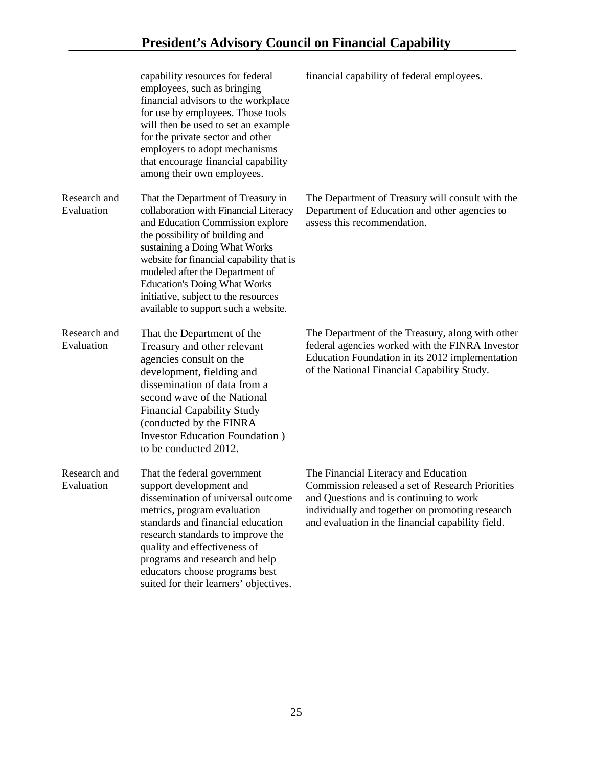|                            | capability resources for federal<br>employees, such as bringing<br>financial advisors to the workplace<br>for use by employees. Those tools<br>will then be used to set an example<br>for the private sector and other<br>employers to adopt mechanisms<br>that encourage financial capability<br>among their own employees.                                                              | financial capability of federal employees.                                                                                                                                                                                                  |
|----------------------------|-------------------------------------------------------------------------------------------------------------------------------------------------------------------------------------------------------------------------------------------------------------------------------------------------------------------------------------------------------------------------------------------|---------------------------------------------------------------------------------------------------------------------------------------------------------------------------------------------------------------------------------------------|
| Research and<br>Evaluation | That the Department of Treasury in<br>collaboration with Financial Literacy<br>and Education Commission explore<br>the possibility of building and<br>sustaining a Doing What Works<br>website for financial capability that is<br>modeled after the Department of<br><b>Education's Doing What Works</b><br>initiative, subject to the resources<br>available to support such a website. | The Department of Treasury will consult with the<br>Department of Education and other agencies to<br>assess this recommendation.                                                                                                            |
| Research and<br>Evaluation | That the Department of the<br>Treasury and other relevant<br>agencies consult on the<br>development, fielding and<br>dissemination of data from a<br>second wave of the National<br><b>Financial Capability Study</b><br>(conducted by the FINRA<br><b>Investor Education Foundation</b> )<br>to be conducted 2012.                                                                       | The Department of the Treasury, along with other<br>federal agencies worked with the FINRA Investor<br>Education Foundation in its 2012 implementation<br>of the National Financial Capability Study.                                       |
| Research and<br>Evaluation | That the federal government<br>support development and<br>dissemination of universal outcome<br>metrics, program evaluation<br>standards and financial education<br>research standards to improve the<br>quality and effectiveness of<br>programs and research and help<br>educators choose programs best<br>suited for their learners' objectives.                                       | The Financial Literacy and Education<br>Commission released a set of Research Priorities<br>and Questions and is continuing to work<br>individually and together on promoting research<br>and evaluation in the financial capability field. |
|                            |                                                                                                                                                                                                                                                                                                                                                                                           |                                                                                                                                                                                                                                             |
|                            | 25                                                                                                                                                                                                                                                                                                                                                                                        |                                                                                                                                                                                                                                             |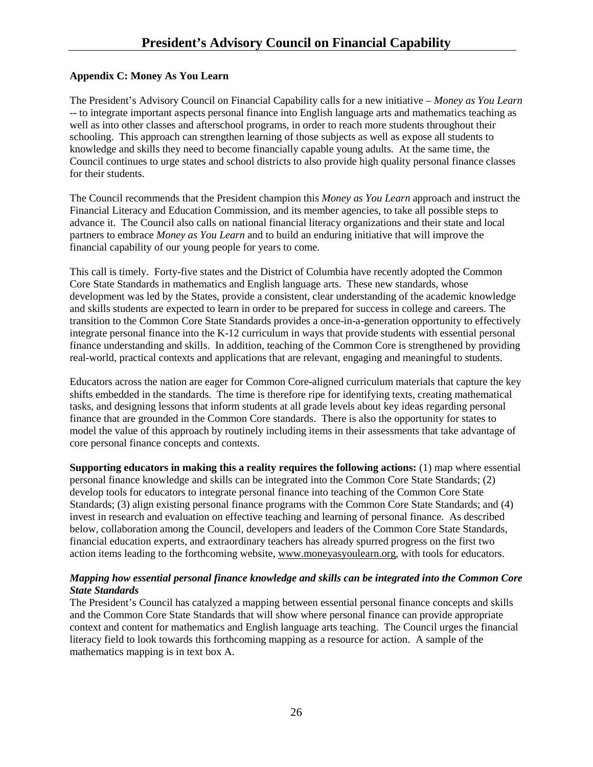# <span id="page-33-0"></span>**Appendix C: Money As You Learn**

 -- to integrate important aspects personal finance into English language arts and mathematics teaching as well as into other classes and afterschool programs, in order to reach more students throughout their schooling. This approach can strengthen learning of those subjects as well as expose all students to Council continues to urge states and school districts to also provide high quality personal finance classes The President's Advisory Council on Financial Capability calls for a new initiative – *Money as You Learn*  knowledge and skills they need to become financially capable young adults. At the same time, the for their students.

 Financial Literacy and Education Commission, and its member agencies, to take all possible steps to advance it. The Council also calls on national financial literacy organizations and their state and local financial capability of our young people for years to come. The Council recommends that the President champion this *Money as You Learn* approach and instruct the partners to embrace *Money as You Learn* and to build an enduring initiative that will improve the

 and skills students are expected to learn in order to be prepared for success in college and careers. The integrate personal finance into the K-12 curriculum in ways that provide students with essential personal real-world, practical contexts and applications that are relevant, engaging and meaningful to students. This call is timely. Forty-five states and the District of Columbia have recently adopted the Common Core State Standards in mathematics and English language arts. These new standards, whose development was led by the States, provide a consistent, clear understanding of the academic knowledge transition to the Common Core State Standards provides a once-in-a-generation opportunity to effectively finance understanding and skills. In addition, teaching of the Common Core is strengthened by providing

 shifts embedded in the standards. The time is therefore ripe for identifying texts, creating mathematical finance that are grounded in the Common Core standards. There is also the opportunity for states to Educators across the nation are eager for Common Core-aligned curriculum materials that capture the key tasks, and designing lessons that inform students at all grade levels about key ideas regarding personal model the value of this approach by routinely including items in their assessments that take advantage of core personal finance concepts and contexts.

 personal finance knowledge and skills can be integrated into the Common Core State Standards; (2) Standards; (3) align existing personal finance programs with the Common Core State Standards; and (4) **Supporting educators in making this a reality requires the following actions:** (1) map where essential develop tools for educators to integrate personal finance into teaching of the Common Core State invest in research and evaluation on effective teaching and learning of personal finance. As described below, collaboration among the Council, developers and leaders of the Common Core State Standards, financial education experts, and extraordinary teachers has already spurred progress on the first two action items leading to the forthcoming website, [www.moneyasyoulearn.org,](http://www.moneyasyoulearn.org/) with tools for educators.

# *Mapping how essential personal finance knowledge and skills can be integrated into the Common Core State Standards*

 context and content for mathematics and English language arts teaching. The Council urges the financial literacy field to look towards this forthcoming mapping as a resource for action. A sample of the The President's Council has catalyzed a mapping between essential personal finance concepts and skills and the Common Core State Standards that will show where personal finance can provide appropriate mathematics mapping is in text box A.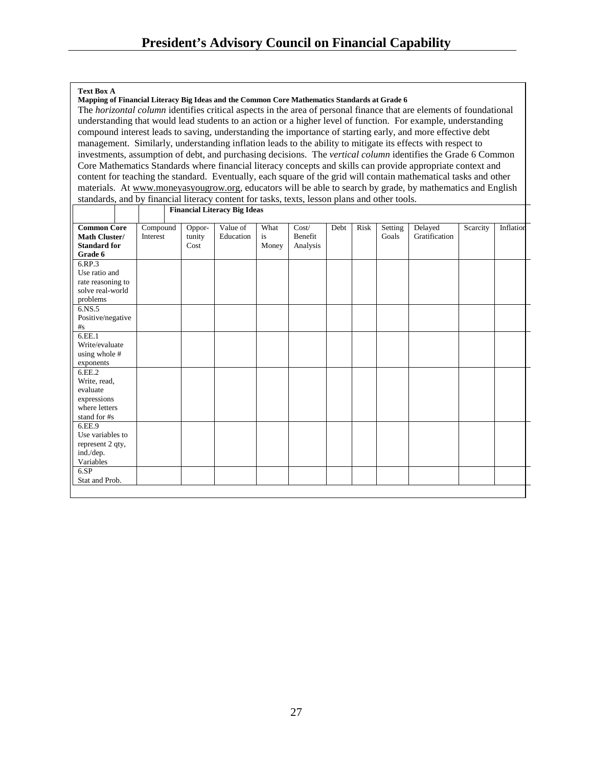#### **Text Box A**

#### **Mapping of Financial Literacy Big Ideas and the Common Core Mathematics Standards at Grade 6**

 investments, assumption of debt, and purchasing decisions. The *vertical column* identifies the Grade 6 Common content for teaching the standard. Eventually, each square of the grid will contain mathematical tasks and other materials. At [www.moneyasyougrow.org,](http://www.moneyasyougrow.org/) educators will be able to search by grade, by mathematics and English standards, and by financial literacy content for tasks, texts, lesson plans and other tools. The *horizontal column* identifies critical aspects in the area of personal finance that are elements of foundational understanding that would lead students to an action or a higher level of function. For example, understanding compound interest leads to saving, understanding the importance of starting early, and more effective debt management. Similarly, understanding inflation leads to the ability to mitigate its effects with respect to Core Mathematics Standards where financial literacy concepts and skills can provide appropriate context and

|                                                                                    |                      | <b>Financial Literacy Big Ideas</b> |                       |                                |                              |      |      |                  |                          |          |           |
|------------------------------------------------------------------------------------|----------------------|-------------------------------------|-----------------------|--------------------------------|------------------------------|------|------|------------------|--------------------------|----------|-----------|
| <b>Common Core</b><br>Math Cluster/<br><b>Standard for</b><br>Grade 6              | Compound<br>Interest | Oppor-<br>tunity<br>Cost            | Value of<br>Education | What<br>$i\mathrm{s}$<br>Money | Cost/<br>Benefit<br>Analysis | Debt | Risk | Setting<br>Goals | Delayed<br>Gratification | Scarcity | Inflation |
| 6.RP.3<br>Use ratio and<br>rate reasoning to<br>solve real-world<br>problems       |                      |                                     |                       |                                |                              |      |      |                  |                          |          |           |
| 6.NS.5<br>Positive/negative<br>#s                                                  |                      |                                     |                       |                                |                              |      |      |                  |                          |          |           |
| 6.EE.1<br>Write/evaluate<br>using whole #<br>exponents                             |                      |                                     |                       |                                |                              |      |      |                  |                          |          |           |
| 6.EE.2<br>Write, read,<br>evaluate<br>expressions<br>where letters<br>stand for #s |                      |                                     |                       |                                |                              |      |      |                  |                          |          |           |
| 6.EE.9<br>Use variables to<br>represent 2 qty,<br>ind./dep.<br>Variables           |                      |                                     |                       |                                |                              |      |      |                  |                          |          |           |
| $6.$ SP<br>Stat and Prob.                                                          |                      |                                     |                       |                                |                              |      |      |                  |                          |          |           |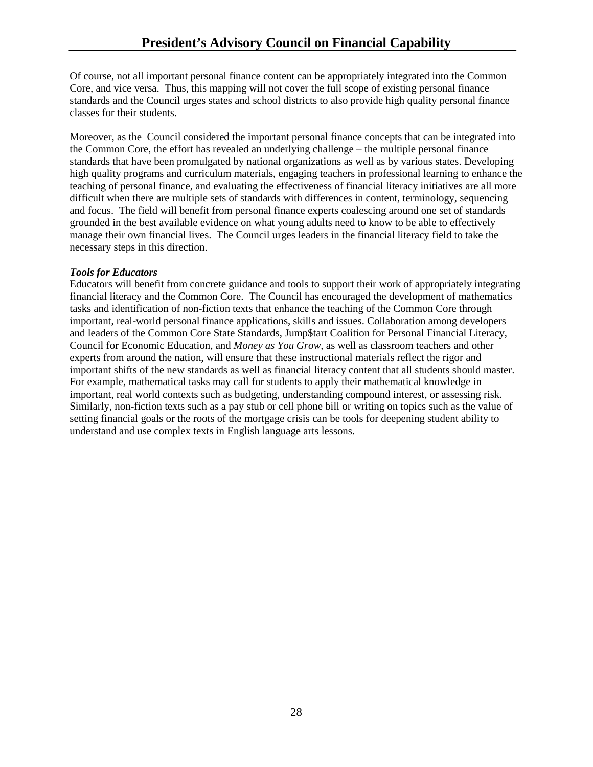Core, and vice versa. Thus, this mapping will not cover the full scope of existing personal finance standards and the Council urges states and school districts to also provide high quality personal finance Of course, not all important personal finance content can be appropriately integrated into the Common classes for their students.

 Moreover, as the Council considered the important personal finance concepts that can be integrated into high quality programs and curriculum materials, engaging teachers in professional learning to enhance the manage their own financial lives. The Council urges leaders in the financial literacy field to take the the Common Core, the effort has revealed an underlying challenge – the multiple personal finance standards that have been promulgated by national organizations as well as by various states. Developing teaching of personal finance, and evaluating the effectiveness of financial literacy initiatives are all more difficult when there are multiple sets of standards with differences in content, terminology, sequencing and focus. The field will benefit from personal finance experts coalescing around one set of standards grounded in the best available evidence on what young adults need to know to be able to effectively necessary steps in this direction.

# *Tools for Educators*

 Educators will benefit from concrete guidance and tools to support their work of appropriately integrating important, real-world personal finance applications, skills and issues. Collaboration among developers experts from around the nation, will ensure that these instructional materials reflect the rigor and important shifts of the new standards as well as financial literacy content that all students should master. financial literacy and the Common Core. The Council has encouraged the development of mathematics tasks and identification of non-fiction texts that enhance the teaching of the Common Core through and leaders of the Common Core State Standards, Jump\$tart Coalition for Personal Financial Literacy, Council for Economic Education, and *Money as You Grow,* as well as classroom teachers and other For example, mathematical tasks may call for students to apply their mathematical knowledge in important, real world contexts such as budgeting, understanding compound interest, or assessing risk. Similarly, non-fiction texts such as a pay stub or cell phone bill or writing on topics such as the value of setting financial goals or the roots of the mortgage crisis can be tools for deepening student ability to understand and use complex texts in English language arts lessons.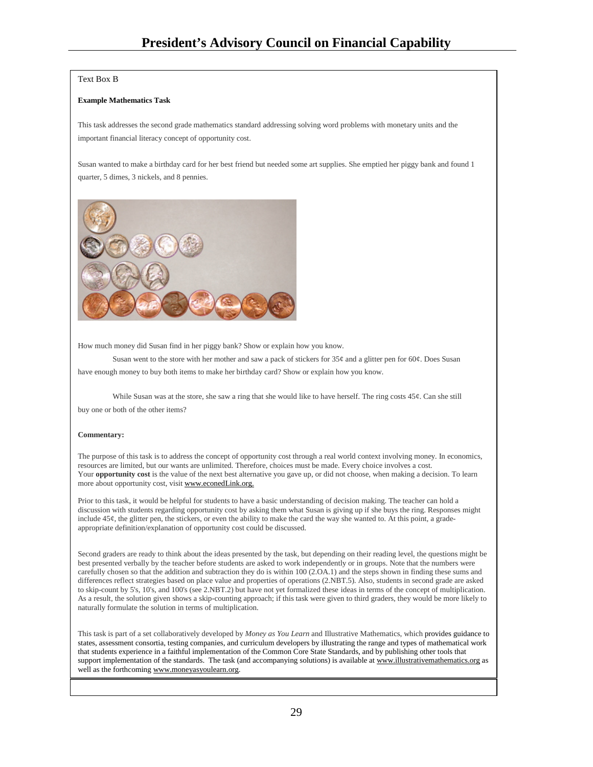#### Text Box B

#### **Example Mathematics Task**

 This task addresses the second grade mathematics standard addressing solving word problems with monetary units and the important financial literacy concept of opportunity cost.

 Susan wanted to make a birthday card for her best friend but needed some art supplies. She emptied her piggy bank and found 1 quarter, 5 dimes, 3 nickels, and 8 pennies.



How much money did Susan find in her piggy bank? Show or explain how you know.

Susan went to the store with her mother and saw a pack of stickers for  $35¢$  and a glitter pen for  $60¢$ . Does Susan have enough money to buy both items to make her birthday card? Show or explain how you know.

While Susan was at the store, she saw a ring that she would like to have herself. The ring costs  $45¢$ . Can she still buy one or both of the other items?

#### **Commentary:**

Your **opportunity** cost is the value of the next best alternative you gave up, or did not choose, when making a decision. To learn The purpose of this task is to address the concept of opportunity cost through a real world context involving money. In economics, resources are limited, but our wants are unlimited. Therefore, choices must be made. Every choice involves a cost. more about opportunity cost, visit [www.econedLink.org.](http://www.econedlink.org/lessons/index.php?lid=1057&type=educator) 

 Prior to this task, it would be helpful for students to have a basic understanding of decision making. The teacher can hold a discussion with students regarding opportunity cost by asking them what Susan is giving up if she buys the ring. Responses might include 45¢, the glitter pen, the stickers, or even the ability to make the card the way she wanted to. At this point, a grade-appropriate definition/explanation of opportunity cost could be discussed.

 Second graders are ready to think about the ideas presented by the task, but depending on their reading level, the questions might be to skip-count by 5's, 10's, and 100's (see 2.NBT.2) but have not yet formalized these ideas in terms of the concept of multiplication. As a result, the solution given shows a skip-counting approach; if this task were given to third graders, they would be more likely to best presented verbally by the teacher before students are asked to work independently or in groups. Note that the numbers were carefully chosen so that the addition and subtraction they do is within 100 (2.OA.1) and the steps shown in finding these sums and differences reflect strategies based on place value and properties of operations (2.NBT.5). Also, students in second grade are asked naturally formulate the solution in terms of multiplication.

 This task is part of a set collaboratively developed by *Money as You Learn* and Illustrative Mathematics, which provides guidance to states, assessment consortia, testing companies, and curriculum developers by illustrating the range and types of mathematical work that students experience in a faithful implementation of the Common Core State Standards, and by publishing other tools that support implementation of the standards. The task (and accompanying solutions) is available a[t www.illustrativemathematics.org a](http://www.illustrativemathematics.org)s well as the forthcoming www.moneyasyoulearn.org.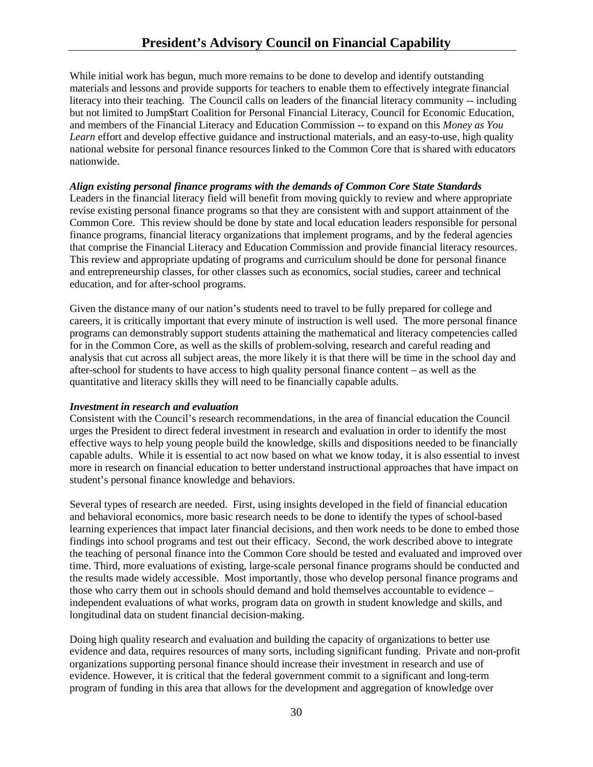but not limited to Jump\$tart Coalition for Personal Financial Literacy, Council for Economic Education, national website for personal finance resources linked to the Common Core that is shared with educators While initial work has begun, much more remains to be done to develop and identify outstanding materials and lessons and provide supports for teachers to enable them to effectively integrate financial literacy into their teaching. The Council calls on leaders of the financial literacy community -- including and members of the Financial Literacy and Education Commission -- to expand on this *Money as You Learn* effort and develop effective guidance and instructional materials, and an easy-to-use, high quality nationwide.

# *Align existing personal finance programs with the demands of Common Core State Standards*

 revise existing personal finance programs so that they are consistent with and support attainment of the Common Core. This review should be done by state and local education leaders responsible for personal Leaders in the financial literacy field will benefit from moving quickly to review and where appropriate finance programs, financial literacy organizations that implement programs, and by the federal agencies that comprise the Financial Literacy and Education Commission and provide financial literacy resources. This review and appropriate updating of programs and curriculum should be done for personal finance and entrepreneurship classes, for other classes such as economics, social studies, career and technical education, and for after-school programs.

 Given the distance many of our nation's students need to travel to be fully prepared for college and careers, it is critically important that every minute of instruction is well used. The more personal finance for in the Common Core, as well as the skills of problem-solving, research and careful reading and analysis that cut across all subject areas, the more likely it is that there will be time in the school day and after-school for students to have access to high quality personal finance content – as well as the programs can demonstrably support students attaining the mathematical and literacy competencies called quantitative and literacy skills they will need to be financially capable adults.

# *Investment in research and evaluation*

 urges the President to direct federal investment in research and evaluation in order to identify the most capable adults. While it is essential to act now based on what we know today, it is also essential to invest student's personal finance knowledge and behaviors. Consistent with the Council's research recommendations, in the area of financial education the Council effective ways to help young people build the knowledge, skills and dispositions needed to be financially more in research on financial education to better understand instructional approaches that have impact on

student's personal finance knowledge and behaviors.<br>Several types of research are needed. First, using insights developed in the field of financial education the teaching of personal finance into the Common Core should be tested and evaluated and improved over the results made widely accessible. Most importantly, those who develop personal finance programs and longitudinal data on student financial decision-making. and behavioral economics, more basic research needs to be done to identify the types of school-based learning experiences that impact later financial decisions, and then work needs to be done to embed those findings into school programs and test out their efficacy. Second, the work described above to integrate time. Third, more evaluations of existing, large-scale personal finance programs should be conducted and those who carry them out in schools should demand and hold themselves accountable to evidence – independent evaluations of what works, program data on growth in student knowledge and skills, and

 organizations supporting personal finance should increase their investment in research and use of Doing high quality research and evaluation and building the capacity of organizations to better use evidence and data, requires resources of many sorts, including significant funding. Private and non-profit evidence. However, it is critical that the federal government commit to a significant and long-term program of funding in this area that allows for the development and aggregation of knowledge over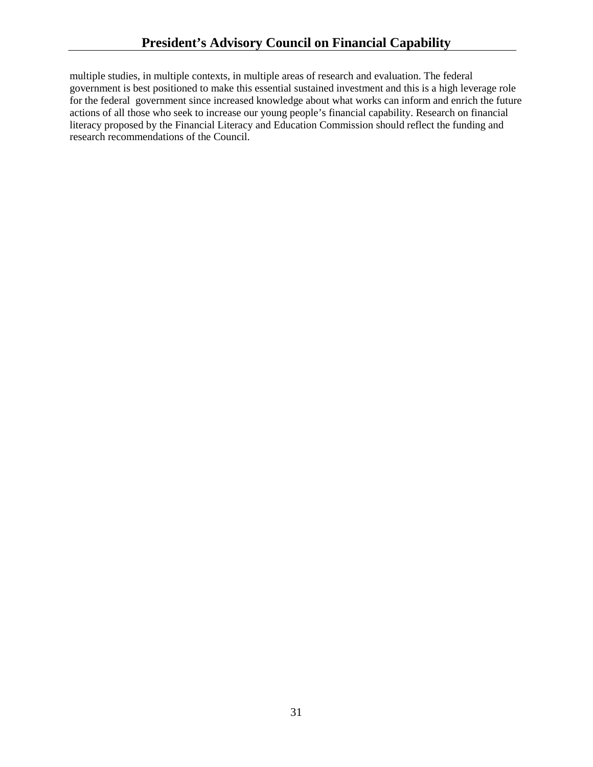government is best positioned to make this essential sustained investment and this is a high leverage role multiple studies, in multiple contexts, in multiple areas of research and evaluation. The federal for the federal government since increased knowledge about what works can inform and enrich the future actions of all those who seek to increase our young people's financial capability. Research on financial literacy proposed by the Financial Literacy and Education Commission should reflect the funding and research recommendations of the Council.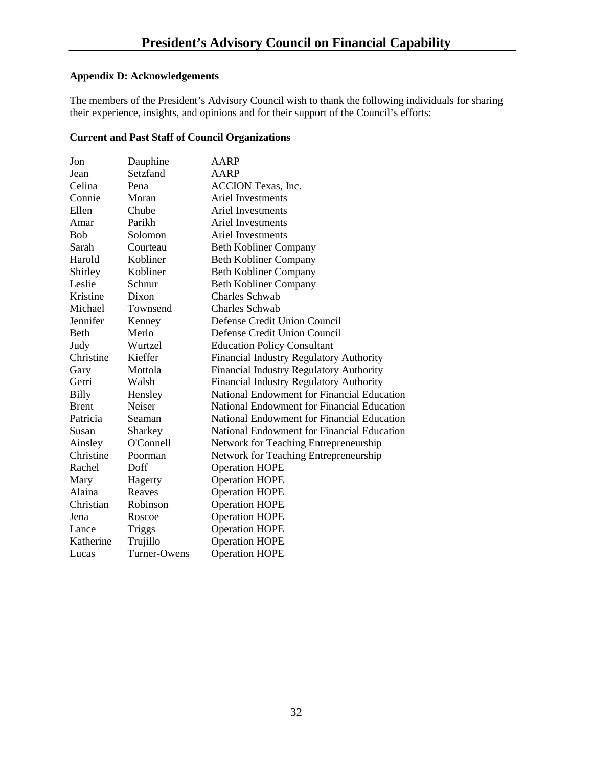# <span id="page-39-0"></span>**Appendix D: Acknowledgements**

The members of the President's Advisory Council wish to thank the following individuals for sharing their experience, insights, and opinions and for their support of the Council's efforts:

### **Current and Past Staff of Council Organizations**

| Jon          | Dauphine     | AARP                                           |
|--------------|--------------|------------------------------------------------|
| Jean         | Setzfand     | AARP                                           |
| Celina       | Pena         | <b>ACCION Texas, Inc.</b>                      |
| Connie       | Moran        | Ariel Investments                              |
| Ellen        | Chube        | Ariel Investments                              |
| Amar         | Parikh       | Ariel Investments                              |
| <b>B</b> ob  | Solomon      | Ariel Investments                              |
| Sarah        | Courteau     | <b>Beth Kobliner Company</b>                   |
| Harold       | Kobliner     | <b>Beth Kobliner Company</b>                   |
| Shirley      | Kobliner     | <b>Beth Kobliner Company</b>                   |
| Leslie       | Schnur       | <b>Beth Kobliner Company</b>                   |
| Kristine     | Dixon        | <b>Charles Schwab</b>                          |
| Michael      | Townsend     | <b>Charles Schwab</b>                          |
| Jennifer     | Kenney       | Defense Credit Union Council                   |
| <b>Beth</b>  | Merlo        | Defense Credit Union Council                   |
| Judy         | Wurtzel      | <b>Education Policy Consultant</b>             |
| Christine    | Kieffer      | Financial Industry Regulatory Authority        |
| Gary         | Mottola      | Financial Industry Regulatory Authority        |
| Gerri        | Walsh        | <b>Financial Industry Regulatory Authority</b> |
| Billy        | Hensley      | National Endowment for Financial Education     |
| <b>Brent</b> | Neiser       | National Endowment for Financial Education     |
| Patricia     | Seaman       | National Endowment for Financial Education     |
| Susan        | Sharkey      | National Endowment for Financial Education     |
| Ainsley      | O'Connell    | Network for Teaching Entrepreneurship          |
| Christine    | Poorman      | Network for Teaching Entrepreneurship          |
| Rachel       | Doff         | <b>Operation HOPE</b>                          |
| Mary         | Hagerty      | <b>Operation HOPE</b>                          |
| Alaina       | Reaves       | <b>Operation HOPE</b>                          |
| Christian    | Robinson     | <b>Operation HOPE</b>                          |
| Jena         | Roscoe       | <b>Operation HOPE</b>                          |
| Lance        | Triggs       | <b>Operation HOPE</b>                          |
| Katherine    | Trujillo     | <b>Operation HOPE</b>                          |
| Lucas        | Turner-Owens | <b>Operation HOPE</b>                          |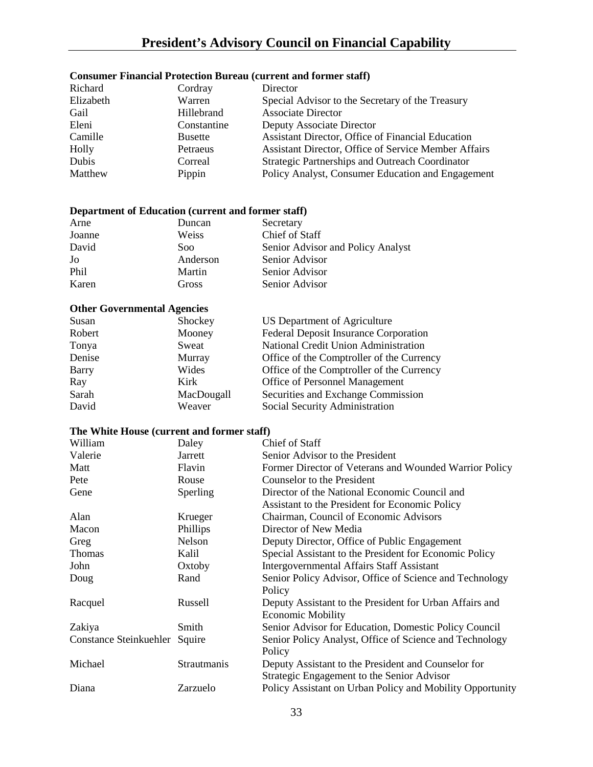# **Consumer Financial Protection Bureau (current and former staff)**

| Richard   | Cordray        | Director                                             |
|-----------|----------------|------------------------------------------------------|
| Elizabeth | Warren         | Special Advisor to the Secretary of the Treasury     |
| Gail      | Hillebrand     | <b>Associate Director</b>                            |
| Eleni     | Constantine    | Deputy Associate Director                            |
| Camille   | <b>Busette</b> | Assistant Director, Office of Financial Education    |
| Holly     | Petraeus       | Assistant Director, Office of Service Member Affairs |
| Dubis     | Correal        | Strategic Partnerships and Outreach Coordinator      |
| Matthew   | Pippin         | Policy Analyst, Consumer Education and Engagement    |

# **Department of Education (current and former staff)**

| Arne   | Duncan   | Secretary                         |
|--------|----------|-----------------------------------|
| Joanne | Weiss    | Chief of Staff                    |
| David  | Soo      | Senior Advisor and Policy Analyst |
| Jo     | Anderson | Senior Advisor                    |
| Phil   | Martin   | Senior Advisor                    |
| Karen  | Gross    | Senior Advisor                    |

### **Other Governmental Agencies**

| Susan  | Shockey    | US Department of Agriculture                 |
|--------|------------|----------------------------------------------|
| Robert | Mooney     | <b>Federal Deposit Insurance Corporation</b> |
| Tonya  | Sweat      | National Credit Union Administration         |
| Denise | Murray     | Office of the Comptroller of the Currency    |
| Barry  | Wides      | Office of the Comptroller of the Currency    |
| Ray    | Kirk       | Office of Personnel Management               |
| Sarah  | MacDougall | Securities and Exchange Commission           |
| David  | Weaver     | Social Security Administration               |

### **The White House (current and former staff)**

| William                       | Daley              | Chief of Staff                                            |
|-------------------------------|--------------------|-----------------------------------------------------------|
| Valerie                       | Jarrett            | Senior Advisor to the President                           |
| Matt                          | Flavin             | Former Director of Veterans and Wounded Warrior Policy    |
| Pete                          | Rouse              | Counselor to the President                                |
| Gene                          | Sperling           | Director of the National Economic Council and             |
|                               |                    | Assistant to the President for Economic Policy            |
| Alan                          | Krueger            | Chairman, Council of Economic Advisors                    |
| Macon                         | <b>Phillips</b>    | Director of New Media                                     |
| Greg                          | Nelson             | Deputy Director, Office of Public Engagement              |
| <b>Thomas</b>                 | Kalil              | Special Assistant to the President for Economic Policy    |
| John                          | Oxtoby             | <b>Intergovernmental Affairs Staff Assistant</b>          |
| Doug                          | Rand               | Senior Policy Advisor, Office of Science and Technology   |
|                               |                    | Policy                                                    |
| Racquel                       | Russell            | Deputy Assistant to the President for Urban Affairs and   |
|                               |                    | <b>Economic Mobility</b>                                  |
| Zakiya                        | Smith              | Senior Advisor for Education, Domestic Policy Council     |
| <b>Constance Steinkuehler</b> | Squire             | Senior Policy Analyst, Office of Science and Technology   |
|                               |                    | Policy                                                    |
| Michael                       | <b>Strautmanis</b> | Deputy Assistant to the President and Counselor for       |
|                               |                    | Strategic Engagement to the Senior Advisor                |
| Diana                         | Zarzuelo           | Policy Assistant on Urban Policy and Mobility Opportunity |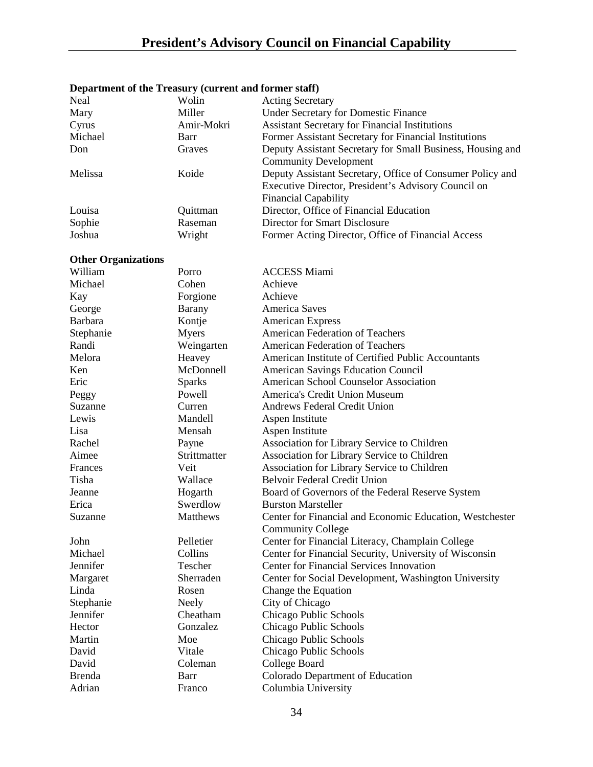| Wolin      | <b>Acting Secretary</b>                                    |
|------------|------------------------------------------------------------|
| Miller     | <b>Under Secretary for Domestic Finance</b>                |
| Amir-Mokri | <b>Assistant Secretary for Financial Institutions</b>      |
| Barr       | Former Assistant Secretary for Financial Institutions      |
| Graves     | Deputy Assistant Secretary for Small Business, Housing and |
|            | <b>Community Development</b>                               |
| Koide      | Deputy Assistant Secretary, Office of Consumer Policy and  |
|            | Executive Director, President's Advisory Council on        |
|            | <b>Financial Capability</b>                                |
| Quittman   | Director, Office of Financial Education                    |
| Raseman    | Director for Smart Disclosure                              |
| Wright     | Former Acting Director, Office of Financial Access         |
|            |                                                            |

# **Department of the Treasury (current and former staff)**

# **Other Organizations**

| William        | Porro         | <b>ACCESS Miami</b>                                                                  |
|----------------|---------------|--------------------------------------------------------------------------------------|
| Michael        | Cohen         | Achieve                                                                              |
| Kay            | Forgione      | Achieve                                                                              |
| George         | <b>Barany</b> | <b>America Saves</b>                                                                 |
| <b>Barbara</b> | Kontje        | <b>American Express</b>                                                              |
| Stephanie      | <b>Myers</b>  | American Federation of Teachers                                                      |
| Randi          | Weingarten    | <b>American Federation of Teachers</b>                                               |
| Melora         | Heavey        | American Institute of Certified Public Accountants                                   |
| Ken            | McDonnell     | American Savings Education Council                                                   |
| Eric           | <b>Sparks</b> | <b>American School Counselor Association</b>                                         |
| Peggy          | Powell        | America's Credit Union Museum                                                        |
| Suzanne        | Curren        | <b>Andrews Federal Credit Union</b>                                                  |
| Lewis          | Mandell       | Aspen Institute                                                                      |
| Lisa           | Mensah        | Aspen Institute                                                                      |
| Rachel         | Payne         | Association for Library Service to Children                                          |
| Aimee          | Strittmatter  | Association for Library Service to Children                                          |
| Frances        | Veit          | Association for Library Service to Children                                          |
| Tisha          | Wallace       | <b>Belvoir Federal Credit Union</b>                                                  |
| Jeanne         | Hogarth       | Board of Governors of the Federal Reserve System                                     |
| Erica          | Swerdlow      | <b>Burston Marsteller</b>                                                            |
| Suzanne        | Matthews      | Center for Financial and Economic Education, Westchester<br><b>Community College</b> |
| John           | Pelletier     | Center for Financial Literacy, Champlain College                                     |
| Michael        | Collins       | Center for Financial Security, University of Wisconsin                               |
| Jennifer       | Tescher       | <b>Center for Financial Services Innovation</b>                                      |
| Margaret       | Sherraden     | Center for Social Development, Washington University                                 |
| Linda          | Rosen         | Change the Equation                                                                  |
| Stephanie      | Neely         | City of Chicago                                                                      |
| Jennifer       | Cheatham      | Chicago Public Schools                                                               |
| Hector         | Gonzalez      | Chicago Public Schools                                                               |
| Martin         | Moe           | Chicago Public Schools                                                               |
| David          | Vitale        | Chicago Public Schools                                                               |
| David          | Coleman       | College Board                                                                        |
| <b>Brenda</b>  | Barr          | Colorado Department of Education                                                     |
| Adrian         | Franco        | Columbia University                                                                  |
|                |               |                                                                                      |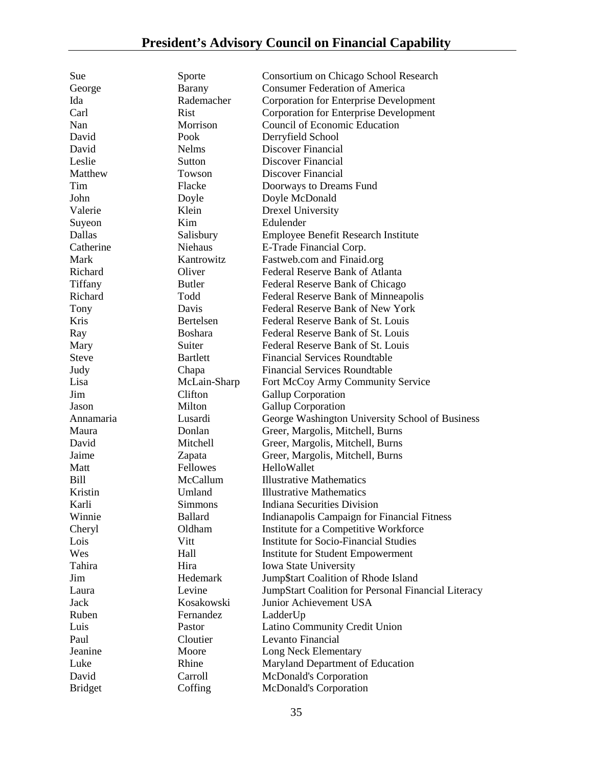| Sue            | Sporte             | Consortium on Chicago School Research               |
|----------------|--------------------|-----------------------------------------------------|
| George         | Barany             | <b>Consumer Federation of America</b>               |
| Ida            | Rademacher         | <b>Corporation for Enterprise Development</b>       |
| Carl           | <b>Rist</b>        | <b>Corporation for Enterprise Development</b>       |
| Nan            | Morrison           | Council of Economic Education                       |
| David          | Pook               | Derryfield School                                   |
| David          | <b>Nelms</b>       | Discover Financial                                  |
| Leslie         | Sutton             | Discover Financial                                  |
| Matthew        | Towson             | Discover Financial                                  |
| Tim            | Flacke             | Doorways to Dreams Fund                             |
| John           | Doyle              | Doyle McDonald                                      |
| Valerie        | Klein              | <b>Drexel University</b>                            |
| Suyeon         | Kim                | Edulender                                           |
| Dallas         | Salisbury          | Employee Benefit Research Institute                 |
| Catherine      | <b>Niehaus</b>     | E-Trade Financial Corp.                             |
| Mark           | Kantrowitz         | Fastweb.com and Finaid.org                          |
| Richard        | Oliver             | <b>Federal Reserve Bank of Atlanta</b>              |
| Tiffany        | <b>Butler</b>      | Federal Reserve Bank of Chicago                     |
| Richard        | Todd               | Federal Reserve Bank of Minneapolis                 |
| Tony           | Davis              | Federal Reserve Bank of New York                    |
| Kris           | Bertelsen          | Federal Reserve Bank of St. Louis                   |
| Ray            | Boshara            | Federal Reserve Bank of St. Louis                   |
| Mary           | Suiter             | Federal Reserve Bank of St. Louis                   |
| Steve          | <b>Bartlett</b>    | <b>Financial Services Roundtable</b>                |
| Judy           | Chapa              | <b>Financial Services Roundtable</b>                |
| Lisa           | McLain-Sharp       | Fort McCoy Army Community Service                   |
| Jim            | Clifton            | <b>Gallup Corporation</b>                           |
| Jason          | Milton             | Gallup Corporation                                  |
| Annamaria      | Lusardi            | George Washington University School of Business     |
| Maura          | Donlan             | Greer, Margolis, Mitchell, Burns                    |
| David          | Mitchell           | Greer, Margolis, Mitchell, Burns                    |
| Jaime          |                    |                                                     |
| Matt           | Zapata<br>Fellowes | Greer, Margolis, Mitchell, Burns<br>HelloWallet     |
| <b>Bill</b>    | McCallum           | <b>Illustrative Mathematics</b>                     |
|                |                    | <b>Illustrative Mathematics</b>                     |
| Kristin        | Umland             |                                                     |
| Karli          | Simmons            | <b>Indiana Securities Division</b>                  |
| Winnie         | <b>Ballard</b>     | Indianapolis Campaign for Financial Fitness         |
| Cheryl         | Oldham             | Institute for a Competitive Workforce               |
| Lois           | Vitt               | <b>Institute for Socio-Financial Studies</b>        |
| Wes            | Hall               | <b>Institute for Student Empowerment</b>            |
| Tahira         | Hira               | Iowa State University                               |
| Jim            | Hedemark           | Jump\$tart Coalition of Rhode Island                |
| Laura          | Levine             | JumpStart Coalition for Personal Financial Literacy |
| Jack           | Kosakowski         | Junior Achievement USA                              |
| Ruben          | Fernandez          | LadderUp                                            |
| Luis           | Pastor             | Latino Community Credit Union                       |
| Paul           | Cloutier           | Levanto Financial                                   |
| Jeanine        | Moore              | Long Neck Elementary                                |
| Luke           | Rhine              | Maryland Department of Education                    |
| David          | Carroll            | McDonald's Corporation                              |
| <b>Bridget</b> | Coffing            | McDonald's Corporation                              |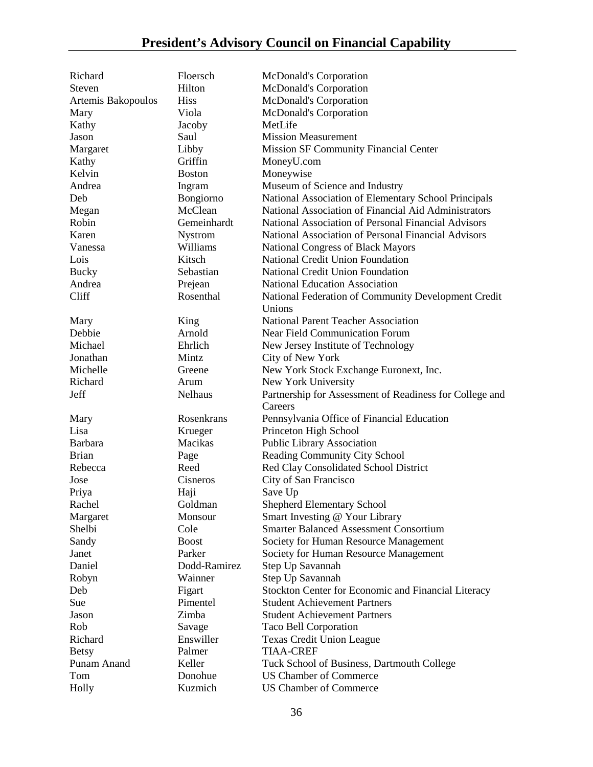| Richard            | Floersch       | <b>McDonald's Corporation</b>                           |
|--------------------|----------------|---------------------------------------------------------|
| Steven             | Hilton         | <b>McDonald's Corporation</b>                           |
| Artemis Bakopoulos | <b>Hiss</b>    | McDonald's Corporation                                  |
| Mary               | Viola          | <b>McDonald's Corporation</b>                           |
| Kathy              | Jacoby         | MetLife                                                 |
| Jason              | Saul           | <b>Mission Measurement</b>                              |
| Margaret           | Libby          | <b>Mission SF Community Financial Center</b>            |
| Kathy              | Griffin        | MoneyU.com                                              |
| Kelvin             | <b>Boston</b>  | Moneywise                                               |
| Andrea             | Ingram         | Museum of Science and Industry                          |
| Deb                | Bongiorno      | National Association of Elementary School Principals    |
| Megan              | McClean        | National Association of Financial Aid Administrators    |
| Robin              | Gemeinhardt    | National Association of Personal Financial Advisors     |
| Karen              | <b>Nystrom</b> | National Association of Personal Financial Advisors     |
| Vanessa            | Williams       | <b>National Congress of Black Mayors</b>                |
| Lois               | Kitsch         | <b>National Credit Union Foundation</b>                 |
| <b>Bucky</b>       | Sebastian      | <b>National Credit Union Foundation</b>                 |
| Andrea             | Prejean        | <b>National Education Association</b>                   |
| Cliff              | Rosenthal      | National Federation of Community Development Credit     |
|                    |                | Unions                                                  |
| Mary               | King           | <b>National Parent Teacher Association</b>              |
| Debbie             | Arnold         | <b>Near Field Communication Forum</b>                   |
| Michael            | Ehrlich        | New Jersey Institute of Technology                      |
| Jonathan           | Mintz          | City of New York                                        |
| Michelle           | Greene         | New York Stock Exchange Euronext, Inc.                  |
| Richard            | Arum           | New York University                                     |
| Jeff               | <b>Nelhaus</b> | Partnership for Assessment of Readiness for College and |
|                    |                | Careers                                                 |
| Mary               | Rosenkrans     | Pennsylvania Office of Financial Education              |
| Lisa               | Krueger        | Princeton High School                                   |
| <b>Barbara</b>     | Macikas        | Public Library Association                              |
| <b>Brian</b>       | Page           | Reading Community City School                           |
| Rebecca            | Reed           | Red Clay Consolidated School District                   |
| Jose               | Cisneros       | City of San Francisco                                   |
| Priya              | Haji           | Save Up                                                 |
| Rachel             | Goldman        | <b>Shepherd Elementary School</b>                       |
| Margaret           | Monsour        | Smart Investing @ Your Library                          |
| Shelbi             | Cole           | <b>Smarter Balanced Assessment Consortium</b>           |
| Sandy              | <b>Boost</b>   | Society for Human Resource Management                   |
| Janet              | Parker         | Society for Human Resource Management                   |
| Daniel             | Dodd-Ramirez   | <b>Step Up Savannah</b>                                 |
| Robyn              | Wainner        | Step Up Savannah                                        |
| Deb                | Figart         | Stockton Center for Economic and Financial Literacy     |
| Sue                | Pimentel       | <b>Student Achievement Partners</b>                     |
| Jason              | Zimba          | <b>Student Achievement Partners</b>                     |
| Rob                | Savage         | Taco Bell Corporation                                   |
| Richard            | Enswiller      | <b>Texas Credit Union League</b>                        |
| <b>Betsy</b>       | Palmer         | <b>TIAA-CREF</b>                                        |
| Punam Anand        | Keller         | Tuck School of Business, Dartmouth College              |
| Tom                | Donohue        | <b>US Chamber of Commerce</b>                           |
| Holly              | Kuzmich        | <b>US Chamber of Commerce</b>                           |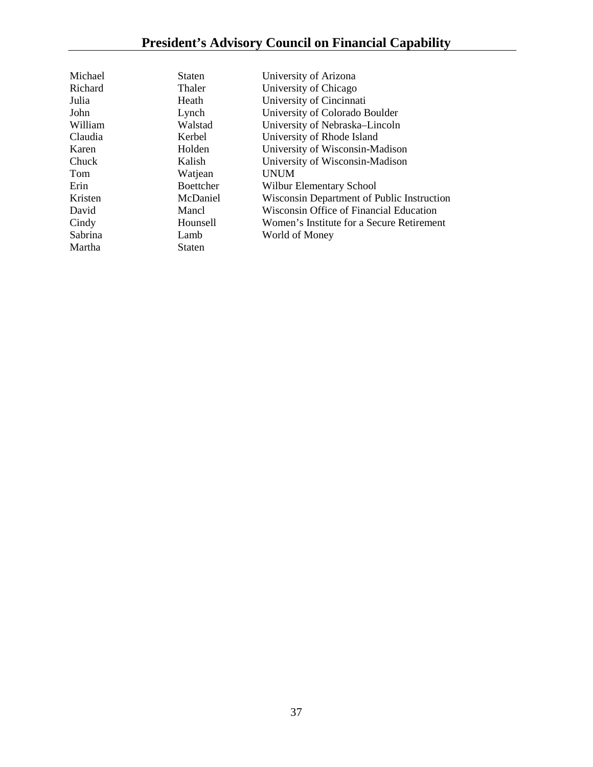| Michael | <b>Staten</b>     | University of Arizona                      |
|---------|-------------------|--------------------------------------------|
| Richard | Thaler            | University of Chicago                      |
| Julia   | Heath             | University of Cincinnati                   |
| John    | Lynch             | University of Colorado Boulder             |
| William | Walstad           | University of Nebraska-Lincoln             |
| Claudia | Kerbel            | University of Rhode Island                 |
| Karen   | Holden            | University of Wisconsin-Madison            |
| Chuck   | Kalish            | University of Wisconsin-Madison            |
| Tom     | Watjean           | <b>UNUM</b>                                |
| Erin    | <b>B</b> oettcher | Wilbur Elementary School                   |
| Kristen | McDaniel          | Wisconsin Department of Public Instruction |
| David   | Mancl             | Wisconsin Office of Financial Education    |
| Cindy   | Hounsell          | Women's Institute for a Secure Retirement  |
| Sabrina | Lamb              | World of Money                             |
| Martha  | Staten            |                                            |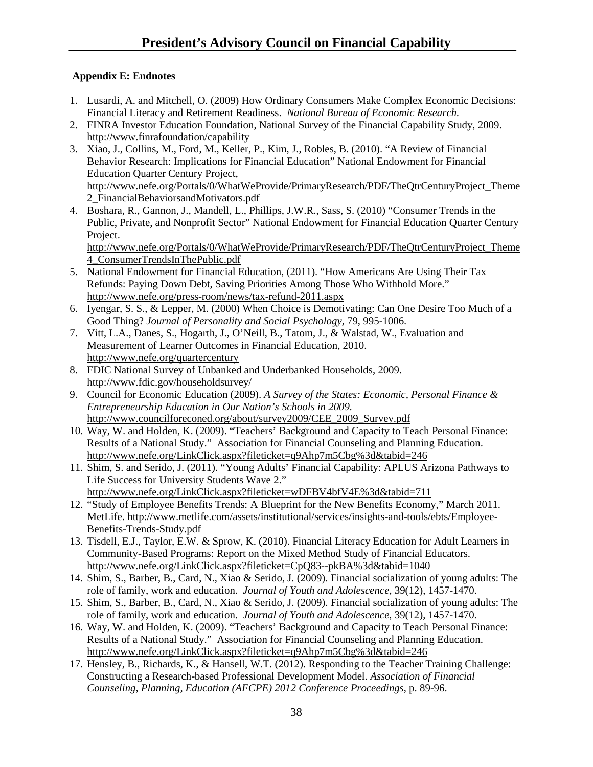# <span id="page-45-0"></span>**Appendix E: Endnotes**

- Financial Literacy and Retirement Readiness. *National Bureau of Economic Research.*  1. Lusardi, A. and Mitchell, O. (2009) How Ordinary Consumers Make Complex Economic Decisions:
- 2. FINRA Investor Education Foundation, National Survey of the Financial Capability Study, 2009. <http://www.finrafoundation/capability>
- 3. Xiao, J., Collins, M., Ford, M., Keller, P., Kim, J., Robles, B. (2010). "A Review of Financial Behavior Research: Implications for Financial Education" National Endowment for Financial Education Quarter Century Project, http://www.nefe.org/Portals/0/WhatWeProvide/PrimaryResearch/PDF/TheQtrCenturyProject\_Theme 2\_FinancialBehaviorsandMotivators.pdf
- 4. Boshara, R., Gannon, J., Mandell, L., Phillips, J.W.R., Sass, S. (2010) "Consumer Trends in the Public, Private, and Nonprofit Sector" National Endowment for Financial Education Quarter Century Project.

4 ConsumerTrendsInThePublic.pdf http://www.nefe.org/Portals/0/WhatWeProvide/PrimaryResearch/PDF/TheQtrCenturyProject\_Theme

- 4\_ConsumerTrendsInThePublic.pdf<br>
5. National Endowment for Financial Education, (2011). "How Americans Are Using Their Tax Refunds: Paying Down Debt, Saving Priorities Among Those Who Withhold More." <http://www.nefe.org/press-room/news/tax-refund-2011.aspx>
- 6. Iyengar, S. S., & Lepper, M. (2000) When Choice is Demotivating: Can One Desire Too Much of a Good Thing? *Journal of Personality and Social Psychology,* 79, 995-1006.
- 7. Vitt, L.A., Danes, S., Hogarth, J., O'Neill, B., Tatom, J., & Walstad, W., Evaluation and Measurement of Learner Outcomes in Financial Education, 2010. <http://www.nefe.org/quartercentury>
- 8. FDIC National Survey of Unbanked and Underbanked Households, 2009. <http://www.fdic.gov/householdsurvey/>
- 9. Council for Economic Education (2009). *A Survey of the States: Economic, Personal Finance & Entrepreneurship Education in Our Nation's Schools in 2009.* [http://www.councilforeconed.org/about/survey2009/CEE\\_2009\\_Survey.pdf](http://www.councilforeconed.org/about/survey2009/CEE_2009_Survey.pdf)
- 10. Way, W. and Holden, K. (2009). "Teachers' Background and Capacity to Teach Personal Finance: Results of a National Study." Association for Financial Counseling and Planning Education. <http://www.nefe.org/LinkClick.aspx?fileticket=q9Ahp7m5Cbg%3d&tabid=246>
- 11. Shim, S. and Serido, J. (2011). "Young Adults' Financial Capability: APLUS Arizona Pathways to Life Success for University Students Wave 2." <http://www.nefe.org/LinkClick.aspx?fileticket=wDFBV4bfV4E%3d&tabid=711>
- 12. "Study of Employee Benefits Trends: A Blueprint for the New Benefits Economy," March 2011. [MetLife. http://www.metlife.com/assets/institutional/services/insights-and-tools/ebts/Employee-](http://www.metlife.com/assets/institutional/services/insights-and-tools/ebts/Employee-Benefits-Trends-Study.pdf)Benefits-Trends-Study.pdf
- 13. Tisdell, E.J., Taylor, E.W. & Sprow, K. (2010). Financial Literacy Education for Adult Learners in Community-Based Programs: Report on the Mixed Method Study of Financial Educators. <http://www.nefe.org/LinkClick.aspx?fileticket=CpQ83--pkBA%3d&tabid=1040>
- 14. Shim, S., Barber, B., Card, N., Xiao & Serido, J. (2009). Financial socialization of young adults: The role of family, work and education. *Journal of Youth and Adolescence*, 39(12), 1457-1470.
- 15. Shim, S., Barber, B., Card, N., Xiao & Serido, J. (2009). Financial socialization of young adults: The role of family, work and education. *Journal of Youth and Adolescence*, 39(12), 1457-1470.
- 16. Way, W. and Holden, K. (2009). "Teachers' Background and Capacity to Teach Personal Finance: Results of a National Study." Association for Financial Counseling and Planning Education. <http://www.nefe.org/LinkClick.aspx?fileticket=q9Ahp7m5Cbg%3d&tabid=246>
- 17. Hensley, B., Richards, K., & Hansell, W.T. (2012). Responding to the Teacher Training Challenge: Constructing a Research-based Professional Development Model. *Association of Financial Counseling, Planning, Education (AFCPE) 2012 Conference Proceedings*, p. 89-96.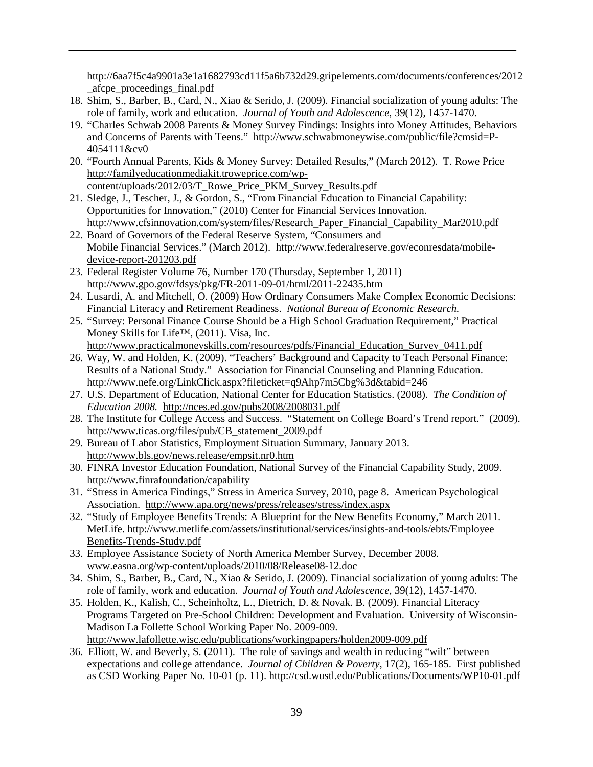http://6aa7f5c4a9901a3e1a1682793cd11f5a6b732d29.gripelements.com/documents/conferences/2012 \_afcpe\_proceedings\_final.pdf

- 18. Shim, S., Barber, B., Card, N., Xiao & Serido, J. (2009). Financial socialization of young adults: The role of family, work and education. *Journal of Youth and Adolescence*, 39(12), 1457-1470.
- [and Concerns of Parents with Teens." http://www.schwabmoneywise.com/public/file?cmsid=P-](http://www.schwabmoneywise.com/public/file?cmsid=P-4054111&cv0)19. "Charles Schwab 2008 Parents & Money Survey Findings: Insights into Money Attitudes, Behaviors 4054111&cv0
- 20. "Fourth Annual Parents, Kids & Money Survey: Detailed Results," (March 2012). T. Rowe Price http://familyeducationmediakit.troweprice.com/wp[content/uploads/2012/03/T\\_Rowe\\_Price\\_PKM\\_Survey\\_Results.pdf](http://familyeducationmediakit.troweprice.com/wp-content/uploads/2012/03/T_Rowe_Price_PKM_Survey_Results.pdf)
- 21. Sledge, J., Tescher, J., & Gordon, S., "From Financial Education to Financial Capability: Opportunities for Innovation," (2010) Center for Financial Services Innovation. http://www.cfsinnovation.com/system/files/Research\_Paper\_Financial\_Capability\_Mar2010.pdf
- [Mobile Financial Services." \(March 2012\). http://www.federalreserve.gov/econresdata/mobile](http://www.federalreserve.gov/econresdata/mobile-device-report-201203.pdf) 22. Board of Governors of the Federal Reserve System, "Consumers and device-report-201203.pdf
- 23. Federal Register Volume 76, Number 170 (Thursday, September 1, 2011) <http://www.gpo.gov/fdsys/pkg/FR-2011-09-01/html/2011-22435.htm>
- Financial Literacy and Retirement Readiness. *National Bureau of Economic Research.*  24. Lusardi, A. and Mitchell, O. (2009) How Ordinary Consumers Make Complex Economic Decisions:
- 25. "Survey: Personal Finance Course Should be a High School Graduation Requirement," Practical Money Skills for Life™, (2011). Visa, Inc. http://www.practicalmoneyskills.com/resources/pdfs/Financial\_Education\_Survey\_0411.pdf
- 26. Way, W. and Holden, K. (2009). "Teachers' Background and Capacity to Teach Personal Finance: Results of a National Study." Association for Financial Counseling and Planning Education. <http://www.nefe.org/LinkClick.aspx?fileticket=q9Ahp7m5Cbg%3d&tabid=246>
- *Education 2008.* <http://nces.ed.gov/pubs2008/2008031.pdf> 27. U.S. Department of Education, National Center for Education Statistics. (2008). *The Condition of*
- 28. The Institute for College Access and Success. "Statement on College Board's Trend report." (2009). [http://www.ticas.org/files/pub/CB\\_statement\\_2009.pdf](http://www.ticas.org/files/pub/CB_statement_2009.pdf)
- 29. Bureau of Labor Statistics, Employment Situation Summary, January 2013. http://www.bls.gov/news.release/empsit.nr0.htm
- 30. FINRA Investor Education Foundation, National Survey of the Financial Capability Study, 2009. <http://www.finrafoundation/capability>
- 31. "Stress in America Findings," Stress in America Survey, 2010, page 8. American Psychological Association. <http://www.apa.org/news/press/releases/stress/index.aspx>
- 32. "Study of Employee Benefits Trends: A Blueprint for the New Benefits Economy," March 2011. [MetLife. http://www.metlife.com/assets/institutional/services/insights-and-tools/ebts/Employee](http://www.metlife.com/assets/institutional/services/insights-and-tools/ebts/Employee-Benefits-Trends-Study.pdf) Benefits-Trends-Study.pdf
- 33. Employee Assistance Society of North America Member Survey, December 2008. [www.easna.org/wp-content/uploads/2010/08/Release08-12.doc](http://www.easna.org/wp-content/uploads/2010/08/Release08-12.doc)
- 34. Shim, S., Barber, B., Card, N., Xiao & Serido, J. (2009). Financial socialization of young adults: The role of family, work and education. *Journal of Youth and Adolescence*, 39(12), 1457-1470.
- 35. Holden, K., Kalish, C., Scheinholtz, L., Dietrich, D. & Novak. B. (2009). Financial Literacy Programs Targeted on Pre-School Children: Development and Evaluation. University of Wisconsin-Madison La Follette School Working Paper No. 2009-009. <http://www.lafollette.wisc.edu/publications/workingpapers/holden2009-009.pdf>
- expectations and college attendance. *Journal of Children & Poverty*, 17(2), 165-185. First published 36. Elliott, W. and Beverly, S. (2011). The role of savings and wealth in reducing "wilt" between as CSD Working Paper No. 10-01 (p. 11).<http://csd.wustl.edu/Publications/Documents/WP10-01.pdf>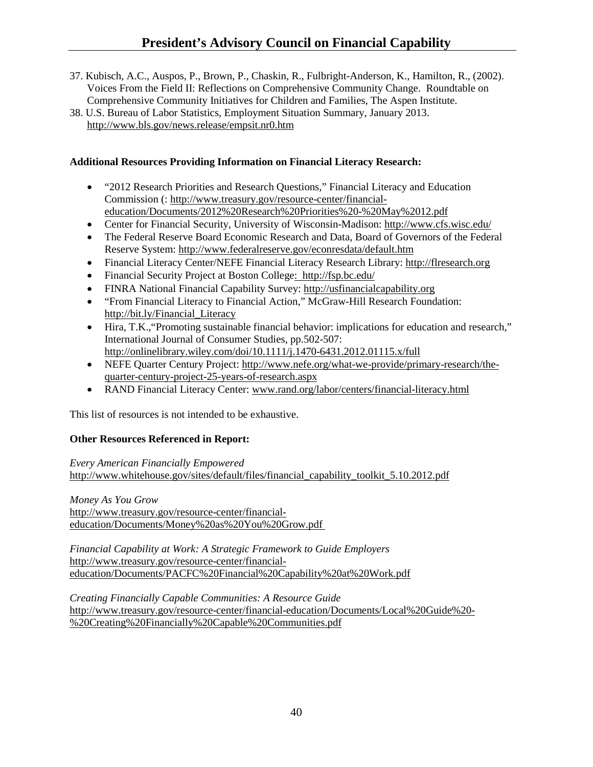- 37. Kubisch, A.C., Auspos, P., Brown, P., Chaskin, R., Fulbright-Anderson, K., Hamilton, R., (2002). Voices From the Field II: Reflections on Comprehensive Community Change. Roundtable on Comprehensive Community Initiatives for Children and Families, The Aspen Institute.
- 38. U.S. Bureau of Labor Statistics, Employment Situation Summary, January 2013. http://www.bls.gov/news.release/empsit.nr0.htm

# **Additional Resources Providing Information on Financial Literacy Research:**

- "2012 Research Priorities and Research Questions," Financial Literacy and Education Commission (: http://www.treasury.gov/resource-center/financial[education/Documents/2012%20Research%20Priorities%20-%20May%2012.pdf](http://www.treasury.gov/resource-center/financial-education/Documents/2012%20Research%20Priorities%20-%20May%2012.pdf)
- • Center for Financial Security, University of Wisconsin-Madison:<http://www.cfs.wisc.edu/>
- The Federal Reserve Board Economic Research and Data, Board of Governors of the Federal Reserve System:<http://www.federalreserve.gov/econresdata/default.htm>
- Financial Literacy Center/NEFE Financial Literacy Research Library: http://flresearch.org
- Financial Security Project at Boston College: http://fsp.bc.edu/
- FINRA National Financial Capability Survey: http://usfinancialcapability.org
- "From Financial Literacy to Financial Action," McGraw-Hill Research Foundation: [http://bit.ly/Financial\\_Literacy](http://bit.ly/Financial_Literacy)
- Hira, T.K., "Promoting sustainable financial behavior: implications for education and research," International Journal of Consumer Studies, pp.502-507: <http://onlinelibrary.wiley.com/doi/10.1111/j.1470-6431.2012.01115.x/full>
- [NEFE Quarter Century Project: http://www.nefe.org/what-we-provide/primary-research/the](http://www.nefe.org/what-we-provide/primary-research/the-quarter-century-project-25-years-of-research.aspx)quarter-century-project-25-years-of-research.aspx
- RAND Financial Literacy Center: www.rand.org/labor/centers/financial-literacy.html

This list of resources is not intended to be exhaustive.

# **Other Resources Referenced in Report:**

*Every American Financially Empowered*  [http://www.whitehouse.gov/sites/default/files/financial\\_capability\\_toolkit\\_5.10.2012.pdf](http://www.whitehouse.gov/sites/default/files/financial_capability_toolkit_5.10.2012.pdf) 

 *Money As You Grow*  http://www.treasury.gov/resource-center/financial-<br>education/Documents/Money%20as%20You%20Grow.pdf http://www.treasury.gov/resource-center/financial

 *Financial Capability at Work: A Strategic Framework to Guide Employers* http://www.treasury.gov/resource-center/financial [education/Documents/PACFC%20Financial%20Capability%20at%20Work.pdf](http://www.treasury.gov/resource-center/financial-education/Documents/PACFC%20Financial%20Capability%20at%20Work.pdfg) 

 *Creating Financially Capable Communities: A Resource Guide* [http://www.treasury.gov/resource-center/financial-education/Documents/Local%20Guide%20](http://www.treasury.gov/resource-center/financial-education/Documents/Local%20Guide%20-%20Creating%20Financially%20Capable%20Communities.pdf) %20Creating%20Financially%20Capable%20Communities.pdf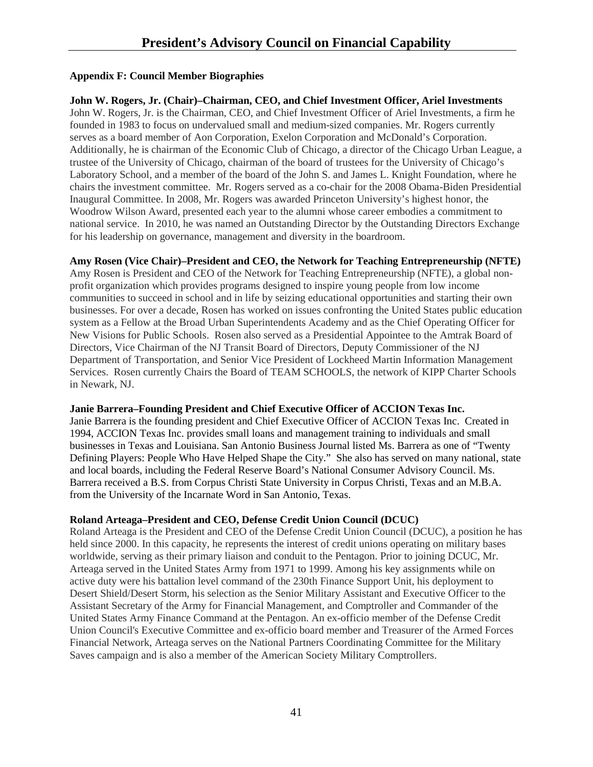# <span id="page-48-0"></span>**Appendix F: Council Member Biographies**

 **John W. Rogers, Jr. (Chair)–Chairman, CEO, and Chief Investment Officer, Ariel Investments**  Additionally, he is chairman of the Economic Club of Chicago, a director of the Chicago Urban League, a trustee of the University of Chicago, chairman of the board of trustees for the University of Chicago's chairs the investment committee. Mr. Rogers served as a co-chair for the 2008 Obama-Biden Presidential John W. Rogers, Jr. is the Chairman, CEO, and Chief Investment Officer of Ariel Investments, a firm he founded in 1983 to focus on undervalued small and medium-sized companies. Mr. Rogers currently serves as a board member of Aon Corporation, Exelon Corporation and McDonald's Corporation. Laboratory School, and a member of the board of the John S. and James L. Knight Foundation, where he Inaugural Committee. In 2008, Mr. Rogers was awarded Princeton University's highest honor, the Woodrow Wilson Award, presented each year to the alumni whose career embodies a commitment to national service. In 2010, he was named an Outstanding Director by the Outstanding Directors Exchange for his leadership on governance, management and diversity in the boardroom.

# **Amy Rosen (Vice Chair)–President and CEO, the Network for Teaching Entrepreneurship (NFTE)**

 New Visions for Public Schools. Rosen also served as a Presidential Appointee to the Amtrak Board of Amy Rosen is President and CEO of the Network for Teaching Entrepreneurship (NFTE), a global nonprofit organization which provides programs designed to inspire young people from low income communities to succeed in school and in life by seizing educational opportunities and starting their own businesses. For over a decade, Rosen has worked on issues confronting the United States public education system as a Fellow at the Broad Urban Superintendents Academy and as the Chief Operating Officer for Directors, Vice Chairman of the NJ Transit Board of Directors, Deputy Commissioner of the NJ Department of Transportation, and Senior Vice President of Lockheed Martin Information Management Services. Rosen currently Chairs the Board of TEAM SCHOOLS, the network of KIPP Charter Schools in Newark, NJ.

#### **Janie Barrera–Founding President and Chief Executive Officer of ACCION Texas Inc.**

 1994, ACCION Texas Inc. provides small loans and management training to individuals and small Janie Barrera is the founding president and Chief Executive Officer of ACCION Texas Inc. Created in businesses in Texas and Louisiana. San Antonio Business Journal listed Ms. Barrera as one of "Twenty Defining Players: People Who Have Helped Shape the City." She also has served on many national, state and local boards, including the Federal Reserve Board's National Consumer Advisory Council. Ms. Barrera received a B.S. from Corpus Christi State University in Corpus Christi, Texas and an M.B.A. from the University of the Incarnate Word in San Antonio, Texas.

# **Roland Arteaga–President and CEO, Defense Credit Union Council (DCUC)**

 Roland Arteaga is the President and CEO of the Defense Credit Union Council (DCUC), a position he has held since 2000. In this capacity, he represents the interest of credit unions operating on military bases worldwide, serving as their primary liaison and conduit to the Pentagon. Prior to joining DCUC, Mr. Desert Shield/Desert Storm, his selection as the Senior Military Assistant and Executive Officer to the Arteaga served in the United States Army from 1971 to 1999. Among his key assignments while on active duty were his battalion level command of the 230th Finance Support Unit, his deployment to Assistant Secretary of the Army for Financial Management, and Comptroller and Commander of the United States Army Finance Command at the Pentagon. An ex-officio member of the Defense Credit Union Council's Executive Committee and ex-officio board member and Treasurer of the Armed Forces Financial Network, Arteaga serves on the National Partners Coordinating Committee for the Military Saves campaign and is also a member of the American Society Military Comptrollers.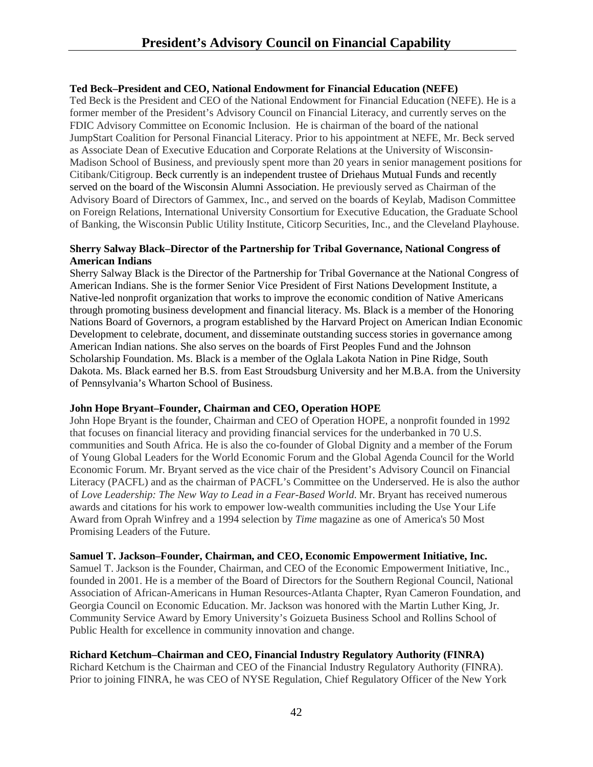# **Ted Beck–President and CEO, National Endowment for Financial Education (NEFE)**

 Ted Beck is the President and CEO of the National Endowment for Financial Education (NEFE). He is a served on the board of the Wisconsin Alumni Association. He previously served as Chairman of the former member of the President's Advisory Council on Financial Literacy, and currently serves on the FDIC Advisory Committee on Economic Inclusion. He is chairman of the board of the national JumpStart Coalition for Personal Financial Literacy. Prior to his appointment at NEFE, Mr. Beck served as Associate Dean of Executive Education and Corporate Relations at the University of Wisconsin-Madison School of Business, and previously spent more than 20 years in senior management positions for Citibank/Citigroup. Beck currently is an independent trustee of Driehaus Mutual Funds and recently Advisory Board of Directors of Gammex, Inc., and served on the boards of Keylab, Madison Committee on Foreign Relations, International University Consortium for Executive Education, the Graduate School of Banking, the Wisconsin Public Utility Institute, Citicorp Securities, Inc., and the Cleveland Playhouse.

#### **Sherry Salway Black–Director of the Partnership for Tribal Governance, National Congress of American Indians**

 Sherry Salway Black is the Director of the Partnership for Tribal Governance at the National Congress of American Indians. She is the former Senior Vice President of First Nations Development Institute, a Native-led nonprofit organization that works to improve the economic condition of Native Americans through promoting business development and financial literacy. Ms. Black is a member of the Honoring Nations Board of Governors, a program established by the Harvard Project on American Indian Economic Development to celebrate, document, and disseminate outstanding success stories in governance among American Indian nations. She also serves on the boards of First Peoples Fund and the Johnson Scholarship Foundation. Ms. Black is a member of the Oglala Lakota Nation in Pine Ridge, South Dakota. Ms. Black earned her B.S. from East Stroudsburg University and her M.B.A. from the University of Pennsylvania's Wharton School of Business.

#### **[John Hope Bryant–Founder, Chairman and CEO, Operation HOPE](http://www.treasury.gov/resource-center/financial-education/Pages/bryant.aspx)**

 John Hope Bryant is the founder, Chairman and CEO of Operation HOPE, a nonprofit founded in 1992 of Young Global Leaders for the World Economic Forum and the Global Agenda Council for the World Award from Oprah Winfrey and a 1994 selection by *Time* magazine as one of America's 50 Most that focuses on financial literacy and providing financial services for the underbanked in 70 U.S. communities and South Africa. He is also the co-founder of Global Dignity and a member of the Forum Economic Forum. Mr. Bryant served as the vice chair of the President's Advisory Council on Financial Literacy (PACFL) and as the chairman of PACFL's Committee on the Underserved. He is also the author of *Love Leadership: The New Way to Lead in a Fear-Based World*. Mr. Bryant has received numerous awards and citations for his work to empower low-wealth communities including the Use Your Life Promising Leaders of the Future.

#### **[Samuel T. Jackson–Founder, Chairman, and CEO, Economic Empowerment Initiative, Inc.](http://www.treasury.gov/resource-center/financial-education/Pages/jackson.aspx)**

 founded in 2001. He is a member of the Board of Directors for the Southern Regional Council, National Samuel T. Jackson is the Founder, Chairman, and CEO of the Economic Empowerment Initiative, Inc., Association of African-Americans in Human Resources-Atlanta Chapter, Ryan Cameron Foundation, and Georgia Council on Economic Education. Mr. Jackson was honored with the Martin Luther King, Jr. Community Service Award by Emory University's Goizueta Business School and Rollins School of Public Health for excellence in community innovation and change.

# **[Richard Ketchum–Chairman and CEO, Financial Industry Regulatory Authority \(FINRA\)](http://www.treasury.gov/resource-center/financial-education/Pages/ketchum.aspx)**

 Prior to joining FINRA, he was CEO of NYSE Regulation, Chief Regulatory Officer of the New York Richard Ketchum is the Chairman and CEO of the Financial Industry Regulatory Authority (FINRA).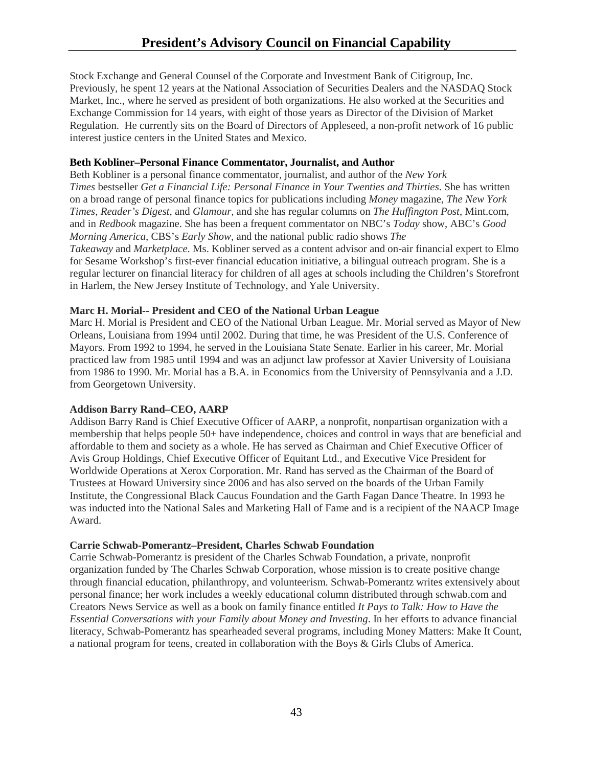Exchange Commission for 14 years, with eight of those years as Director of the Division of Market Regulation. He currently sits on the Board of Directors of Appleseed, a non-profit network of 16 public Stock Exchange and General Counsel of the Corporate and Investment Bank of Citigroup, Inc. Previously, he spent 12 years at the National Association of Securities Dealers and the NASDAQ Stock Market, Inc., where he served as president of both organizations. He also worked at the Securities and interest justice centers in the United States and Mexico.

# **[Beth Kobliner–Personal Finance Commentator, Journalist, and Author](http://www.treasury.gov/resource-center/financial-education/Pages/kobliner.aspx)**

 Beth Kobliner is a personal finance commentator, journalist, and author of the *New York Times* bestseller *Get a Financial Life: Personal Finance in Your Twenties and Thirties*. She has written on a broad range of personal finance topics for publications including *Money* magazine, *The New York Times*, *Reader's Digest*, and *Glamour,* and she has regular columns on *The Huffington Post*, Mint.com, *Takeaway* and *Marketplace*. Ms. Kobliner served as a content advisor and on-air financial expert to Elmo in Harlem, the New Jersey Institute of Technology, and Yale University. and in *Redbook* magazine. She has been a frequent commentator on NBC's *Today* show, ABC's *Good Morning America*, CBS's *Early Show*, and the national public radio shows *The*  for Sesame Workshop's first-ever financial education initiative, a bilingual outreach program. She is a regular lecturer on financial literacy for children of all ages at schools including the Children's Storefront

# **Marc H. Morial-- President and CEO of the National Urban League**

Marc H. Morial is President and CEO of the National Urban League. Mr. Morial served as Mayor of New Orleans, Louisiana from 1994 until 2002. During that time, he was President of the U.S. Conference of Mayors. From 1992 to 1994, he served in the Louisiana State Senate. Earlier in his career, Mr. Morial practiced law from 1985 until 1994 and was an adjunct law professor at Xavier University of Louisiana from 1986 to 1990. Mr. Morial has a B.A. in Economics from the University of Pennsylvania and a J.D. from Georgetown University.

# **Addison Barry Rand–CEO, AARP**

 membership that helps people 50+ have independence, choices and control in ways that are beneficial and Worldwide Operations at Xerox Corporation. Mr. Rand has served as the Chairman of the Board of Addison Barry Rand is Chief Executive Officer of AARP, a nonprofit, nonpartisan organization with a affordable to them and society as a whole. He has served as Chairman and Chief Executive Officer of Avis Group Holdings, Chief Executive Officer of Equitant Ltd., and Executive Vice President for Trustees at Howard University since 2006 and has also served on the boards of the Urban Family Institute, the Congressional Black Caucus Foundation and the Garth Fagan Dance Theatre. In 1993 he was inducted into the National Sales and Marketing Hall of Fame and is a recipient of the NAACP Image Award.

# **Carrie Schwab-Pomerantz–President, Charles Schwab Foundation**

 Carrie Schwab-Pomerantz is president of the Charles Schwab Foundation, a private, nonprofit  Creators News Service as well as a book on family finance entitled *It Pays to Talk: How to Have the*  a national program for teens, created in collaboration with the Boys & Girls Clubs of America. organization funded by The Charles Schwab Corporation, whose mission is to create positive change through financial education, philanthropy, and volunteerism. Schwab-Pomerantz writes extensively about personal finance; her work includes a weekly educational column distributed through schwab.com and *Essential Conversations with your Family about Money and Investing*. In her efforts to advance financial literacy, Schwab-Pomerantz has spearheaded several programs, including Money Matters: Make It Count,